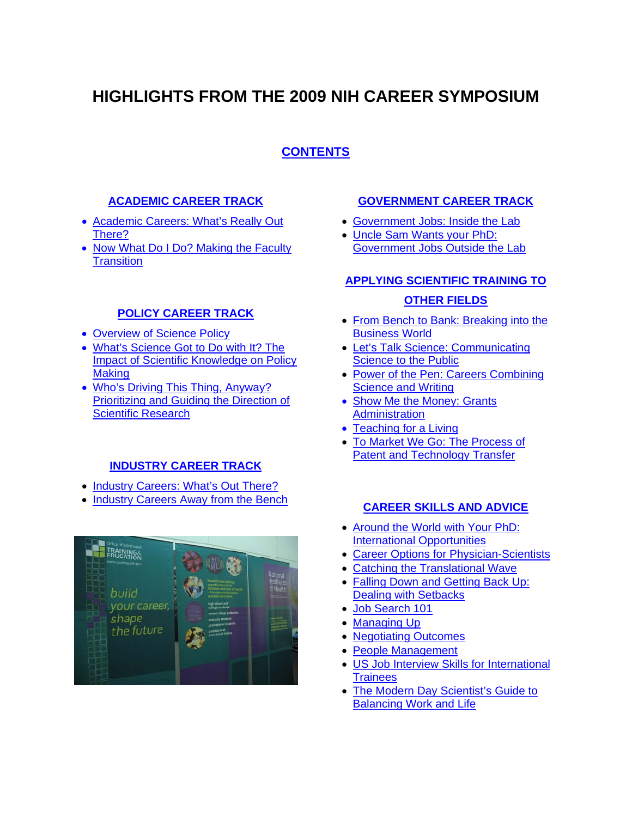# <span id="page-0-0"></span>**HIGHLIGHTS FROM THE 2009 NIH CAREER SYMPOSIUM**

# **[CONTENTS](#page-0-0)**

### **[ACADEMIC CAREER TRACK](#page-1-0)**

- [Academic Careers: What's Really Out](#page-1-0)  [There?](#page-1-0)
- Now What Do I Do? Making the Faculty **[Transition](#page-2-0)**

### **[POLICY CAREER TRACK](#page-3-0)**

- [Overview of Science Policy](#page-3-0)
- [What's Science Got to Do with It? The](#page-4-0)  [Impact of Scientific Knowledge on Policy](#page-4-0)  **[Making](#page-4-0)**
- [Who's Driving This Thing, Anyway?](#page-5-0)  [Prioritizing and Guiding the Direction of](#page-5-0)  [Scientific Research](#page-5-0)

### **[INDUSTRY CAREER TRACK](#page-6-0)**

- [Industry Careers: What's Out There?](#page-6-0)
- [Industry Careers Away from the Bench](#page-7-0)



### **[GOVERNMENT CAREER TRACK](#page-9-0)**

- [Government Jobs: Inside the Lab](#page-9-0)
- [Uncle Sam Wants your PhD:](#page-10-0)  [Government Jobs Outside the Lab](#page-10-0)

# **[APPLYING SCIENTIFIC TRAINING TO](#page-11-0) [OTHER FIELDS](#page-11-0)**

- [From Bench to Bank: Breaking into the](#page-11-0)  [Business World](#page-11-0)
- [Let's Talk Science: Communicating](#page-12-0)  [Science to the Public](#page-12-0)
- [Power of the Pen: Careers Combining](#page-14-0)  [Science and Writing](#page-14-0)
- Show Me the Money: Grants **[Administration](#page-15-0)**
- [Teaching for a Living](#page-16-0)
- [To Market We Go: The Process of](#page-18-0)  [Patent and Technology Transfer](#page-18-0)

### **[CAREER SKILLS AND ADVICE](#page-19-0)**

- [Around the World with Your PhD:](#page-19-0)  [International Opportunities](#page-19-0)
- [Career Options for Physician-Scientists](#page-20-0)
- [Catching the Translational Wave](#page-21-0)
- [Falling Down and Getting Back Up:](#page-22-0)  [Dealing with Setbacks](#page-22-0)
- [Job Search 101](#page-23-0)
- [Managing Up](#page-24-0)
- [Negotiating Outcomes](#page-25-0)
- [People Management](#page-26-0)
- [US Job Interview Skills for International](#page-27-0)  **[Trainees](#page-27-0)**
- The Modern Day Scientist's Guide to [Balancing Work and Life](#page-28-0)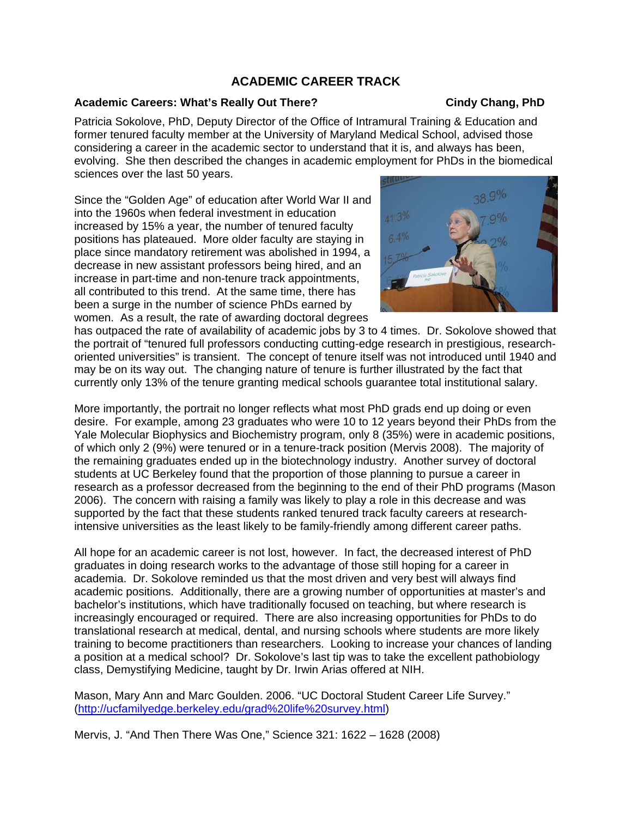### **ACADEMIC CAREER TRACK**

#### <span id="page-1-0"></span>Academic Careers: What's Really Out There? Cindy Chang, PhD

Patricia Sokolove, PhD, Deputy Director of the Office of Intramural Training & Education and former tenured faculty member at the University of Maryland Medical School, advised those considering a career in the academic sector to understand that it is, and always has been, evolving. She then described the changes in academic employment for PhDs in the biomedical sciences over the last 50 years.

Since the "Golden Age" of education after World War II and into the 1960s when federal investment in education increased by 15% a year, the number of tenured faculty positions has plateaued. More older faculty are staying in place since mandatory retirement was abolished in 1994, a decrease in new assistant professors being hired, and an increase in part-time and non-tenure track appointments, all contributed to this trend. At the same time, there has been a surge in the number of science PhDs earned by women. As a result, the rate of awarding doctoral degrees

has outpaced the rate of availability of academic jobs by 3 to 4 times. Dr. Sokolove sho wed that the portrait of "tenured full professors conducting cutting-edge research in prestigious, researc h oriented universities" is transient. The concept of tenure itself was not introduced until 1940 and may be on its way out. The changing nature of tenure is further illustrated by the fact that currently only 13% of the tenure granting medical schools guarantee total institutional salary.

More importantly, the portrait no longer reflects what most PhD grads end up doing or even desire. For example, among 23 graduates who were 10 to 12 years beyond their PhDs from the Yale Molecular Biophysics and Biochemistry program, only 8 (35%) were in academic positions, of which only 2 (9%) were tenured or in a tenure-track position (Mervis 2008). The majority of the remaining graduates ended up in the biotechnology industry. Another survey of doctoral students at UC Berkeley found that the proportion of those planning to pursue a career in research as a professor decreased from the beginning to the end of their PhD programs (Mason 2006). The concern with raising a family was likely to play a role in this decrease and was supported by the fact that these students ranked tenured track faculty careers at researchintensive universities as the least likely to be family-friendly among different career paths.

All hope for an academic career is not lost, however. In fact, the decreased interest of PhD graduates in doing research works to the advantage of those still hoping for a career in academia. Dr. Sokolove reminded us that the most driven and very best will always find academic positions. Additionally, there are a growing number of opportunities at master's and bachelor's institutions, which have traditionally focused on teaching, but where research is increasingly encouraged or required. There are also increasing opportunities for PhDs to do translational research at medical, dental, and nursing schools where students are more likely training to become practitioners than researchers. Looking to increase your chances of landing a position at a medical school? Dr. Sokolove's last tip was to take the excellent pathobiology class, Demystifying Medicine, taught by Dr. Irwin Arias offered at NIH.

Mason, Mary Ann and Marc Goulden. 2006. "UC Doctoral Student Career Life Survey." (<http://ucfamilyedge.berkeley.edu/grad%20life%20survey.html>)

Mervis, J. "And Then There Was One," Science 321: 1622 – 1628 (2008)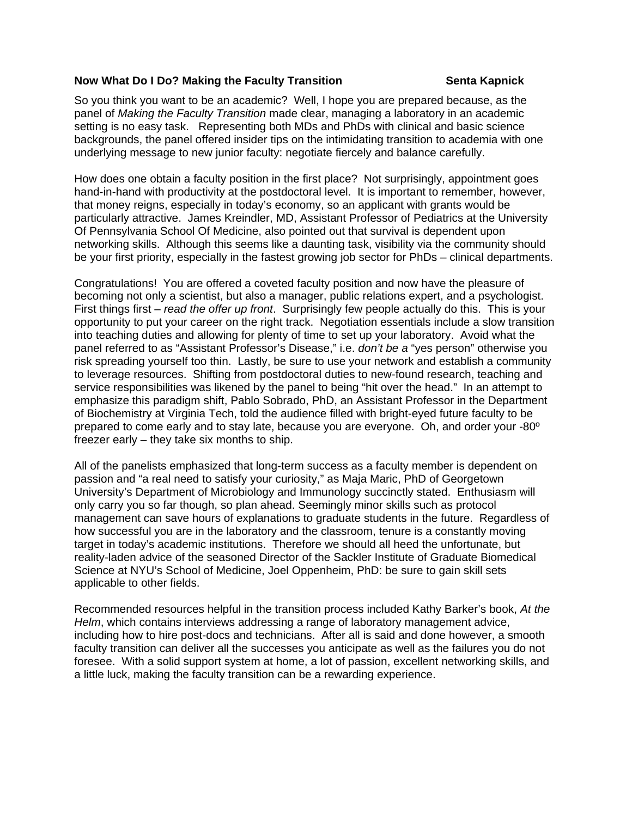#### <span id="page-2-0"></span>**Now What Do I Do? Making the Faculty Transition Senta Kapnick Communist Rapnick**

So you think you want to be an academic? Well, I hope you are prepared because, as the panel of *Making the Faculty Transition* made clear, managing a laboratory in an academic setting is no easy task. Representing both MDs and PhDs with clinical and basic science backgrounds, the panel offered insider tips on the intimidating transition to academia with one underlying message to new junior faculty: negotiate fiercely and balance carefully.

How does one obtain a faculty position in the first place? Not surprisingly, appointment goes hand-in-hand with productivity at the postdoctoral level. It is important to remember, however, that money reigns, especially in today's economy, so an applicant with grants would be particularly attractive. James Kreindler, MD, Assistant Professor of Pediatrics at the University Of Pennsylvania School Of Medicine, also pointed out that survival is dependent upon networking skills. Although this seems like a daunting task, visibility via the community should be your first priority, especially in the fastest growing job sector for PhDs – clinical departments.

Congratulations! You are offered a coveted faculty position and now have the pleasure of becoming not only a scientist, but also a manager, public relations expert, and a psychologist. First things first – *read the offer up front*. Surprisingly few people actually do this. This is your opportunity to put your career on the right track. Negotiation essentials include a slow transition into teaching duties and allowing for plenty of time to set up your laboratory. Avoid what the panel referred to as "Assistant Professor's Disease," i.e. *don't be a* "yes person" otherwise you risk spreading yourself too thin. Lastly, be sure to use your network and establish a community to leverage resources. Shifting from postdoctoral duties to new-found research, teaching and service responsibilities was likened by the panel to being "hit over the head." In an attempt to emphasize this paradigm shift, Pablo Sobrado, PhD, an Assistant Professor in the Department of Biochemistry at Virginia Tech, told the audience filled with bright-eyed future faculty to be prepared to come early and to stay late, because you are everyone. Oh, and order your -80º freezer early – they take six months to ship.

All of the panelists emphasized that long-term success as a faculty member is dependent on passion and "a real need to satisfy your curiosity," as Maja Maric, PhD of Georgetown University's Department of Microbiology and Immunology succinctly stated. Enthusiasm will only carry you so far though, so plan ahead. Seemingly minor skills such as protocol management can save hours of explanations to graduate students in the future. Regardless of how successful you are in the laboratory and the classroom, tenure is a constantly moving target in today's academic institutions. Therefore we should all heed the unfortunate, but reality-laden advice of the seasoned Director of the Sackler Institute of Graduate Biomedical Science at NYU's School of Medicine, Joel Oppenheim, PhD: be sure to gain skill sets applicable to other fields.

Recommended resources helpful in the transition process included Kathy Barker's book, *At the Helm*, which contains interviews addressing a range of laboratory management advice, including how to hire post-docs and technicians. After all is said and done however, a smooth faculty transition can deliver all the successes you anticipate as well as the failures you do not foresee. With a solid support system at home, a lot of passion, excellent networking skills, and a little luck, making the faculty transition can be a rewarding experience.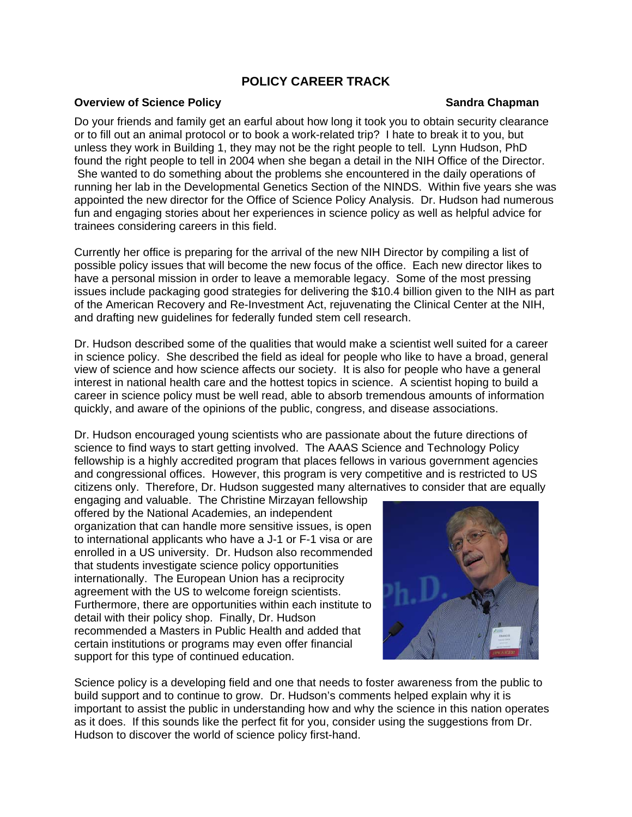# **POLICY CAREER TRACK**

#### <span id="page-3-0"></span>**Overview of Science Policy Community Community Sandra Chapman Chapman Chapman Chapman**

### Do your friends and family get an earful about how long it took you to obtain security clearance or to fill out an animal protocol or to book a work-related trip? I hate to break it to you, but unless they work in Building 1, they may not be the right people to tell. Lynn Hudson, PhD found the right people to tell in 2004 when she began a detail in the NIH Office of the Director. She wanted to do something about the problems she encountered in the daily operations of running her lab in the Developmental Genetics Section of the NINDS. Within five years she was appointed the new director for the Office of Science Policy Analysis. Dr. Hudson had numerous fun and engaging stories about her experiences in science policy as well as helpful advice for trainees considering careers in this field.

Currently her office is preparing for the arrival of the new NIH Director by compiling a list of possible policy issues that will become the new focus of the office. Each new director likes to have a personal mission in order to leave a memorable legacy. Some of the most pressing issues include packaging good strategies for delivering the \$10.4 billion given to the NIH as part of the American Recovery and Re-Investment Act, rejuvenating the Clinical Center at the NIH, and drafting new guidelines for federally funded stem cell research.

Dr. Hudson described some of the qualities that would make a scientist well suited for a career in science policy. She described the field as ideal for people who like to have a broad, general view of science and how science affects our society. It is also for people who have a general interest in national health care and the hottest topics in science. A scientist hoping to build a career in science policy must be well read, able to absorb tremendous amounts of information quickly, and aware of the opinions of the public, congress, and disease associations.

Dr. Hudson encouraged young scientists who are passionate about the future directions of science to find ways to start getting involved. The AAAS Science and Technology Policy fellowship is a highly accredited program that places fellows in various government agencies and congressional offices. However, this program is very competitive and is restricted to US citizens only. Therefore, Dr. Hudson suggested many alternatives to consider that are equally

engaging and valuable. The Christine Mirzayan fellowship offered by the National Academies, an independent organization that can handle more sensitive issues, is open to international applicants who have a J-1 or F-1 visa or are enrolled in a US university. Dr. Hudson also recommended that students investigate science policy opportunities internationally. The European Union has a reciprocity agreement with the US to welcome foreign scientists. Furthermore, there are opportunities within each institute to detail with their policy shop. Finally, Dr. Hudson recommended a Masters in Public Health and added that certain institutions or programs may even offer financial support for this type of continued education.



Science policy is a developing field and one that needs to foster awareness from the public to build support and to continue to grow. Dr. Hudson's comments helped explain why it is important to assist the public in understanding how and why the science in this nation operates as it does. If this sounds like the perfect fit for you, consider using the suggestions from Dr. Hudson to discover the world of science policy first-hand.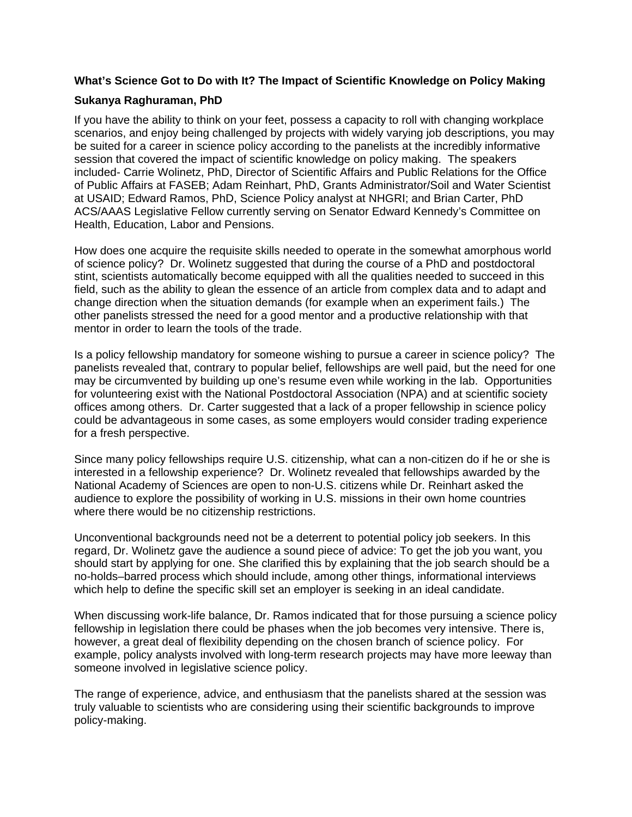### <span id="page-4-0"></span>**What's Science Got to Do with It? The Impact of Scientific Knowledge on Policy Making**

### **Sukanya Raghuraman, PhD**

If you have the ability to think on your feet, possess a capacity to roll with changing workplace scenarios, and enjoy being challenged by projects with widely varying job descriptions, you may be suited for a career in science policy according to the panelists at the incredibly informative session that covered the impact of scientific knowledge on policy making. The speakers included- Carrie Wolinetz, PhD, Director of Scientific Affairs and Public Relations for the Office of Public Affairs at FASEB; Adam Reinhart, PhD, Grants Administrator/Soil and Water Scientist at USAID; Edward Ramos, PhD, Science Policy analyst at NHGRI; and Brian Carter, PhD ACS/AAAS Legislative Fellow currently serving on Senator Edward Kennedy's Committee on Health, Education, Labor and Pensions.

How does one acquire the requisite skills needed to operate in the somewhat amorphous world of science policy? Dr. Wolinetz suggested that during the course of a PhD and postdoctoral stint, scientists automatically become equipped with all the qualities needed to succeed in this field, such as the ability to glean the essence of an article from complex data and to adapt and change direction when the situation demands (for example when an experiment fails.) The other panelists stressed the need for a good mentor and a productive relationship with that mentor in order to learn the tools of the trade.

Is a policy fellowship mandatory for someone wishing to pursue a career in science policy? The panelists revealed that, contrary to popular belief, fellowships are well paid, but the need for one may be circumvented by building up one's resume even while working in the lab. Opportunities for volunteering exist with the National Postdoctoral Association (NPA) and at scientific society offices among others. Dr. Carter suggested that a lack of a proper fellowship in science policy could be advantageous in some cases, as some employers would consider trading experience for a fresh perspective.

Since many policy fellowships require U.S. citizenship, what can a non-citizen do if he or she is interested in a fellowship experience? Dr. Wolinetz revealed that fellowships awarded by the National Academy of Sciences are open to non-U.S. citizens while Dr. Reinhart asked the audience to explore the possibility of working in U.S. missions in their own home countries where there would be no citizenship restrictions.

Unconventional backgrounds need not be a deterrent to potential policy job seekers. In this regard, Dr. Wolinetz gave the audience a sound piece of advice: To get the job you want, you should start by applying for one. She clarified this by explaining that the job search should be a no-holds–barred process which should include, among other things, informational interviews which help to define the specific skill set an employer is seeking in an ideal candidate.

When discussing work-life balance, Dr. Ramos indicated that for those pursuing a science policy fellowship in legislation there could be phases when the job becomes very intensive. There is, however, a great deal of flexibility depending on the chosen branch of science policy. For example, policy analysts involved with long-term research projects may have more leeway than someone involved in legislative science policy.

The range of experience, advice, and enthusiasm that the panelists shared at the session was truly valuable to scientists who are considering using their scientific backgrounds to improve policy-making.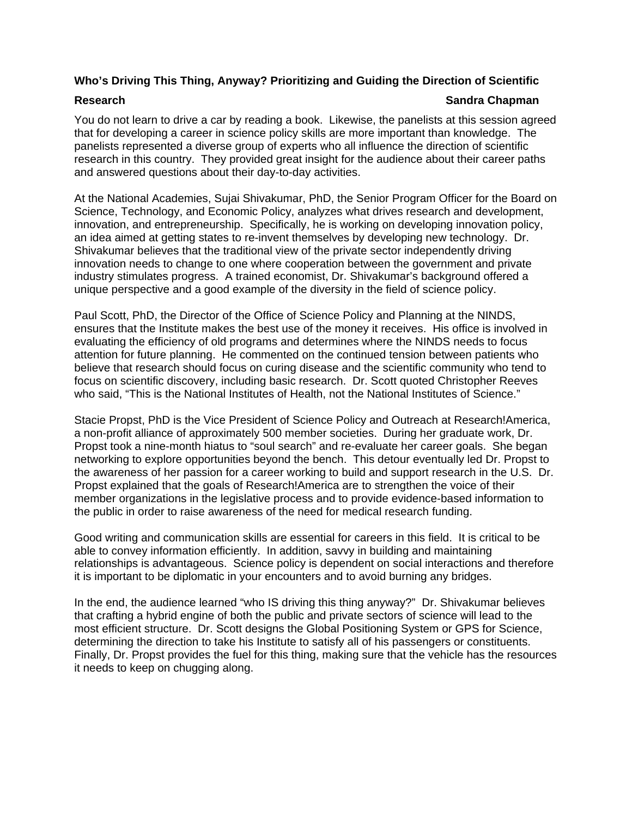### <span id="page-5-0"></span>**Who's Driving This Thing, Anyway? Prioritizing and Guiding the Direction of Scientific**

#### **Research Sandra Chapman and Sandra Chapman in the Sandra Chapman in the Sandra Chapman in the Sandra Chapman in the Sandra Chapman in the Sandra Chapman in the Sandra Chapman in the Sandra Chapman in the Sandra Chapman in**

You do not learn to drive a car by reading a book. Likewise, the panelists at this session agreed that for developing a career in science policy skills are more important than knowledge. The panelists represented a diverse group of experts who all influence the direction of scientific research in this country. They provided great insight for the audience about their career paths and answered questions about their day-to-day activities.

At the National Academies, Sujai Shivakumar, PhD, the Senior Program Officer for the Board on Science, Technology, and Economic Policy, analyzes what drives research and development, innovation, and entrepreneurship. Specifically, he is working on developing innovation policy, an idea aimed at getting states to re-invent themselves by developing new technology. Dr. Shivakumar believes that the traditional view of the private sector independently driving innovation needs to change to one where cooperation between the government and private industry stimulates progress. A trained economist, Dr. Shivakumar's background offered a unique perspective and a good example of the diversity in the field of science policy.

Paul Scott, PhD, the Director of the Office of Science Policy and Planning at the NINDS, ensures that the Institute makes the best use of the money it receives. His office is involved in evaluating the efficiency of old programs and determines where the NINDS needs to focus attention for future planning. He commented on the continued tension between patients who believe that research should focus on curing disease and the scientific community who tend to focus on scientific discovery, including basic research. Dr. Scott quoted Christopher Reeves who said, "This is the National Institutes of Health, not the National Institutes of Science."

Stacie Propst, PhD is the Vice President of Science Policy and Outreach at Research!America, a non-profit alliance of approximately 500 member societies. During her graduate work, Dr. Propst took a nine-month hiatus to "soul search" and re-evaluate her career goals. She began networking to explore opportunities beyond the bench. This detour eventually led Dr. Propst to the awareness of her passion for a career working to build and support research in the U.S. Dr. Propst explained that the goals of Research!America are to strengthen the voice of their member organizations in the legislative process and to provide evidence-based information to the public in order to raise awareness of the need for medical research funding.

Good writing and communication skills are essential for careers in this field. It is critical to be able to convey information efficiently. In addition, savvy in building and maintaining relationships is advantageous. Science policy is dependent on social interactions and therefore it is important to be diplomatic in your encounters and to avoid burning any bridges.

In the end, the audience learned "who IS driving this thing anyway?" Dr. Shivakumar believes that crafting a hybrid engine of both the public and private sectors of science will lead to the most efficient structure. Dr. Scott designs the Global Positioning System or GPS for Science, determining the direction to take his Institute to satisfy all of his passengers or constituents. Finally, Dr. Propst provides the fuel for this thing, making sure that the vehicle has the resources it needs to keep on chugging along.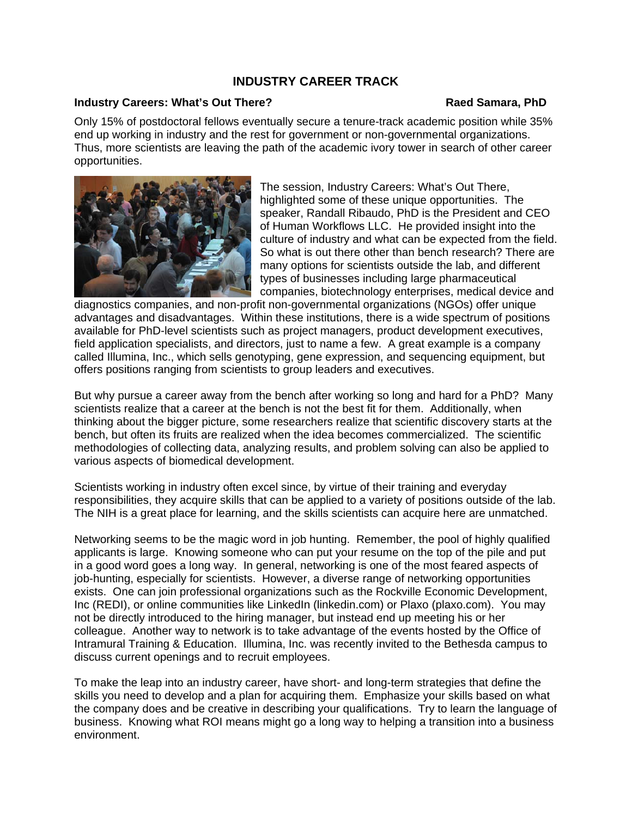### **INDUSTRY CAREER TRACK**

#### <span id="page-6-0"></span>**Industry Careers: What's Out There?** The **Raed Samara, PhD Raed Samara, PhD**

Only 15% of postdoctoral fellows eventually secure a tenure-track academic position while 35% end up working in industry and the rest for government or non-governmental organizations. Thus, more scientists are leaving the path of the academic ivory tower in search of other career opportunities.



The session, Industry Careers: What's Out There, highlighted some of these unique opportunities. The speaker, Randall Ribaudo, PhD is the President and CEO of Human Workflows LLC. He provided insight into the culture of industry and what can be expected from the field. So what is out there other than bench research? There are many options for scientists outside the lab, and different types of businesses including large pharmaceutical companies, biotechnology enterprises, medical device and

diagnostics companies, and non-profit non-governmental organizations (NGOs) offer unique advantages and disadvantages. Within these institutions, there is a wide spectrum of positions available for PhD-level scientists such as project managers, product development executives, field application specialists, and directors, just to name a few. A great example is a company called Illumina, Inc., which sells genotyping, gene expression, and sequencing equipment, but offers positions ranging from scientists to group leaders and executives.

But why pursue a career away from the bench after working so long and hard for a PhD? Many scientists realize that a career at the bench is not the best fit for them. Additionally, when thinking about the bigger picture, some researchers realize that scientific discovery starts at the bench, but often its fruits are realized when the idea becomes commercialized. The scientific methodologies of collecting data, analyzing results, and problem solving can also be applied to various aspects of biomedical development.

Scientists working in industry often excel since, by virtue of their training and everyday responsibilities, they acquire skills that can be applied to a variety of positions outside of the lab. The NIH is a great place for learning, and the skills scientists can acquire here are unmatched.

Networking seems to be the magic word in job hunting. Remember, the pool of highly qualified applicants is large. Knowing someone who can put your resume on the top of the pile and put in a good word goes a long way. In general, networking is one of the most feared aspects of job-hunting, especially for scientists. However, a diverse range of networking opportunities exists. One can join professional organizations such as the Rockville Economic Development, Inc (REDI), or online communities like LinkedIn (linkedin.com) or Plaxo (plaxo.com). You may not be directly introduced to the hiring manager, but instead end up meeting his or her colleague. Another way to network is to take advantage of the events hosted by the Office of Intramural Training & Education. Illumina, Inc. was recently invited to the Bethesda campus to discuss current openings and to recruit employees.

To make the leap into an industry career, have short- and long-term strategies that define the skills you need to develop and a plan for acquiring them. Emphasize your skills based on what the company does and be creative in describing your qualifications. Try to learn the language of business. Knowing what ROI means might go a long way to helping a transition into a business environment.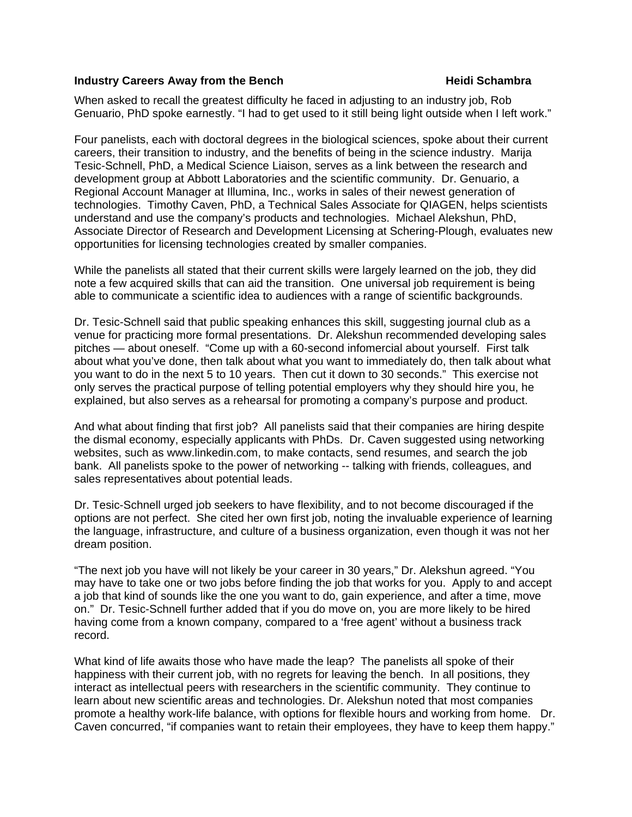#### <span id="page-7-0"></span>**Industry Careers Away from the Bench Manufath Chambra Away from the Bench Manufath Chambra Away Figures**

When asked to recall the greatest difficulty he faced in adjusting to an industry job, Rob Genuario, PhD spoke earnestly. "I had to get used to it still being light outside when I left work."

Four panelists, each with doctoral degrees in the biological sciences, spoke about their current careers, their transition to industry, and the benefits of being in the science industry. Marija Tesic-Schnell, PhD, a Medical Science Liaison, serves as a link between the research and development group at Abbott Laboratories and the scientific community. Dr. Genuario, a Regional Account Manager at Illumina, Inc., works in sales of their newest generation of technologies. Timothy Caven, PhD, a Technical Sales Associate for QIAGEN, helps scientists understand and use the company's products and technologies. Michael Alekshun, PhD, Associate Director of Research and Development Licensing at Schering-Plough, evaluates new opportunities for licensing technologies created by smaller companies.

While the panelists all stated that their current skills were largely learned on the job, they did note a few acquired skills that can aid the transition. One universal job requirement is being able to communicate a scientific idea to audiences with a range of scientific backgrounds.

Dr. Tesic-Schnell said that public speaking enhances this skill, suggesting journal club as a venue for practicing more formal presentations. Dr. Alekshun recommended developing sales pitches — about oneself. "Come up with a 60-second infomercial about yourself. First talk about what you've done, then talk about what you want to immediately do, then talk about what you want to do in the next 5 to 10 years. Then cut it down to 30 seconds." This exercise not only serves the practical purpose of telling potential employers why they should hire you, he explained, but also serves as a rehearsal for promoting a company's purpose and product.

And what about finding that first job? All panelists said that their companies are hiring despite the dismal economy, especially applicants with PhDs. Dr. Caven suggested using networking websites, such as www.linkedin.com, to make contacts, send resumes, and search the job bank. All panelists spoke to the power of networking -- talking with friends, colleagues, and sales representatives about potential leads.

Dr. Tesic-Schnell urged job seekers to have flexibility, and to not become discouraged if the options are not perfect. She cited her own first job, noting the invaluable experience of learning the language, infrastructure, and culture of a business organization, even though it was not her dream position.

"The next job you have will not likely be your career in 30 years," Dr. Alekshun agreed. "You may have to take one or two jobs before finding the job that works for you. Apply to and accept a job that kind of sounds like the one you want to do, gain experience, and after a time, move on." Dr. Tesic-Schnell further added that if you do move on, you are more likely to be hired having come from a known company, compared to a 'free agent' without a business track record.

What kind of life awaits those who have made the leap? The panelists all spoke of their happiness with their current job, with no regrets for leaving the bench. In all positions, they interact as intellectual peers with researchers in the scientific community. They continue to learn about new scientific areas and technologies. Dr. Alekshun noted that most companies promote a healthy work-life balance, with options for flexible hours and working from home. Dr. Caven concurred, "if companies want to retain their employees, they have to keep them happy."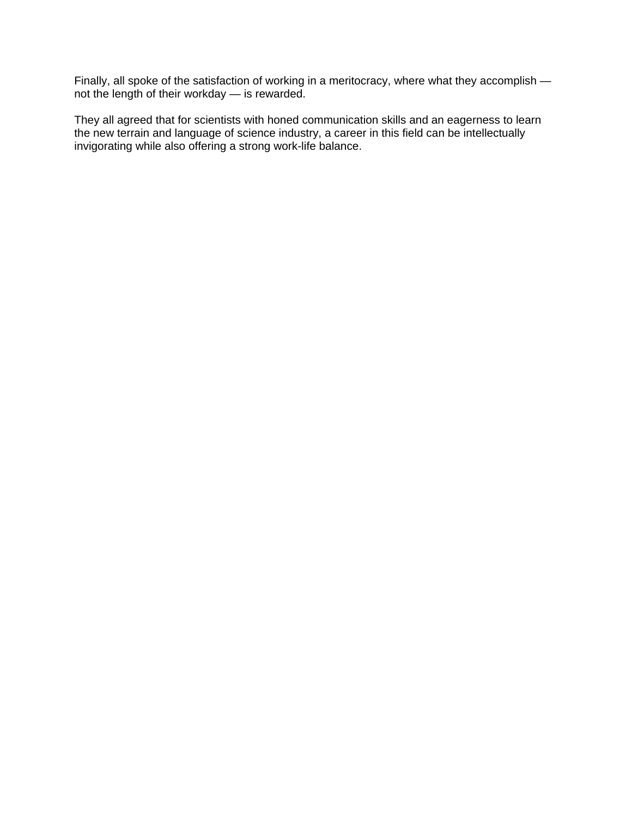Finally, all spoke of the satisfaction of working in a meritocracy, where what they accomplish not the length of their workday — is rewarded.

They all agreed that for scientists with honed communication skills and an eagerness to learn the new terrain and language of science industry, a career in this field can be intellectually invigorating while also offering a strong work-life balance.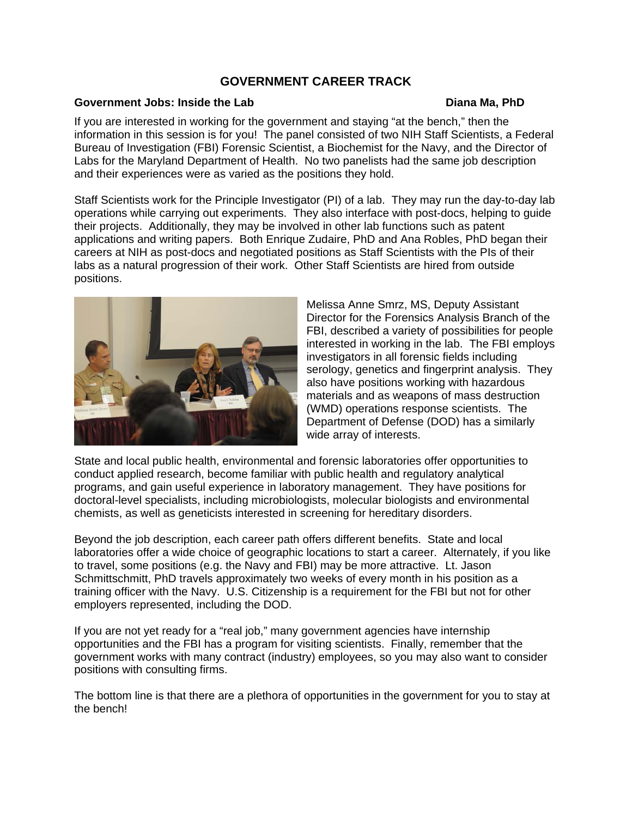# **GOVERNMENT CAREER TRACK**

#### <span id="page-9-0"></span>**Government Jobs: Inside the Lab**  Diana Ma, PhD

If you are interested in working for the government and staying "at the bench," then the information in this session is for you! The panel consisted of two NIH Staff Scientists, a Federal Bureau of Investigation (FBI) Forensic Scientist, a Biochemist for the Navy, and the Director of Labs for the Maryland Department of Health. No two panelists had the same job description and their experiences were as varied as the positions they hold.

Staff Scientists work for the Principle Investigator (PI) of a lab. They may run the day-to-day lab operations while carrying out experiments. They also interface with post-docs, helping to guide their projects. Additionally, they may be involved in other lab functions such as patent applications and writing papers. Both Enrique Zudaire, PhD and Ana Robles, PhD began their careers at NIH as post-docs and negotiated positions as Staff Scientists with the PIs of their labs as a natural progression of their work. Other Staff Scientists are hired from outside positions.



Melissa Anne Smrz, MS, Deputy Assistant Director for the Forensics Analysis Branch of the FBI, described a variety of possibilities for people interested in working in the lab. The FBI employs investigators in all forensic fields including serology, genetics and fingerprint analysis. They also have positions working with hazardous materials and as weapons of mass destruction (WMD) operations response scientists. The Department of Defense (DOD) has a similarly wide array of interests.

State and local public health, environmental and forensic laboratories offer opportunities to conduct applied research, become familiar with public health and regulatory analytical programs, and gain useful experience in laboratory management. They have positions for doctoral-level specialists, including microbiologists, molecular biologists and environmental chemists, as well as geneticists interested in screening for hereditary disorders.

Beyond the job description, each career path offers different benefits. State and local laboratories offer a wide choice of geographic locations to start a career. Alternately, if you like to travel, some positions (e.g. the Navy and FBI) may be more attractive. Lt. Jason Schmittschmitt, PhD travels approximately two weeks of every month in his position as a training officer with the Navy. U.S. Citizenship is a requirement for the FBI but not for other employers represented, including the DOD.

If you are not yet ready for a "real job," many government agencies have internship opportunities and the FBI has a program for visiting scientists. Finally, remember that the government works with many contract (industry) employees, so you may also want to consider positions with consulting firms.

The bottom line is that there are a plethora of opportunities in the government for you to stay at the bench!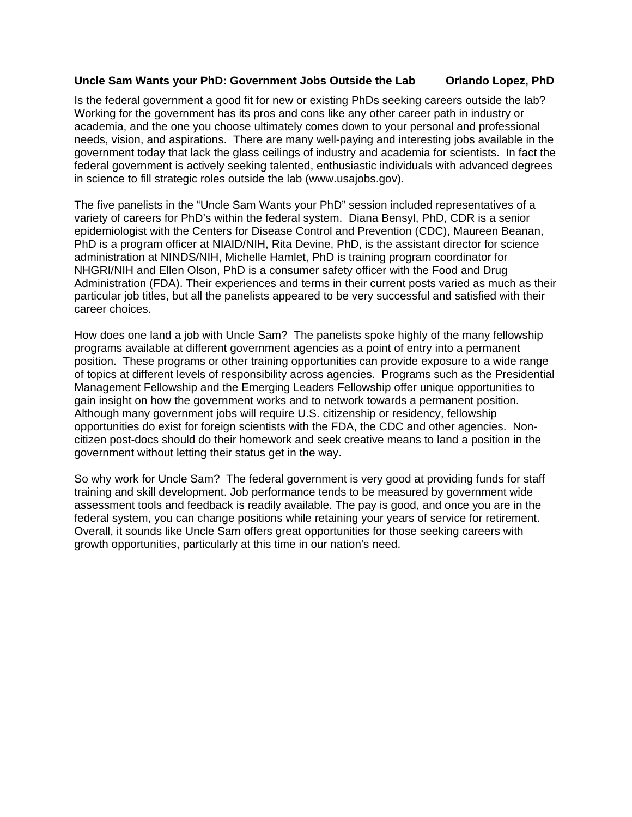### <span id="page-10-0"></span>**Uncle Sam Wants your PhD: Government Jobs Outside the Lab Orlando Lopez, PhD**

Is the federal government a good fit for new or existing PhDs seeking careers outside the lab? Working for the government has its pros and cons like any other career path in industry or academia, and the one you choose ultimately comes down to your personal and professional needs, vision, and aspirations. There are many well-paying and interesting jobs available in the government today that lack the glass ceilings of industry and academia for scientists. In fact the federal government is actively seeking talented, enthusiastic individuals with advanced degrees in science to fill strategic roles outside the lab (www.usajobs.gov).

The five panelists in the "Uncle Sam Wants your PhD" session included representatives of a variety of careers for PhD's within the federal system. Diana Bensyl, PhD, CDR is a senior epidemiologist with the Centers for Disease Control and Prevention (CDC), Maureen Beanan, PhD is a program officer at NIAID/NIH, Rita Devine, PhD, is the assistant director for science administration at NINDS/NIH, Michelle Hamlet, PhD is training program coordinator for NHGRI/NIH and Ellen Olson, PhD is a consumer safety officer with the Food and Drug Administration (FDA). Their experiences and terms in their current posts varied as much as their particular job titles, but all the panelists appeared to be very successful and satisfied with their career choices.

How does one land a job with Uncle Sam? The panelists spoke highly of the many fellowship programs available at different government agencies as a point of entry into a permanent position. These programs or other training opportunities can provide exposure to a wide range of topics at different levels of responsibility across agencies. Programs such as the Presidential Management Fellowship and the Emerging Leaders Fellowship offer unique opportunities to gain insight on how the government works and to network towards a permanent position. Although many government jobs will require U.S. citizenship or residency, fellowship opportunities do exist for foreign scientists with the FDA, the CDC and other agencies. Noncitizen post-docs should do their homework and seek creative means to land a position in the government without letting their status get in the way.

So why work for Uncle Sam? The federal government is very good at providing funds for staff training and skill development. Job performance tends to be measured by government wide assessment tools and feedback is readily available. The pay is good, and once you are in the federal system, you can change positions while retaining your years of service for retirement. Overall, it sounds like Uncle Sam offers great opportunities for those seeking careers with growth opportunities, particularly at this time in our nation's need.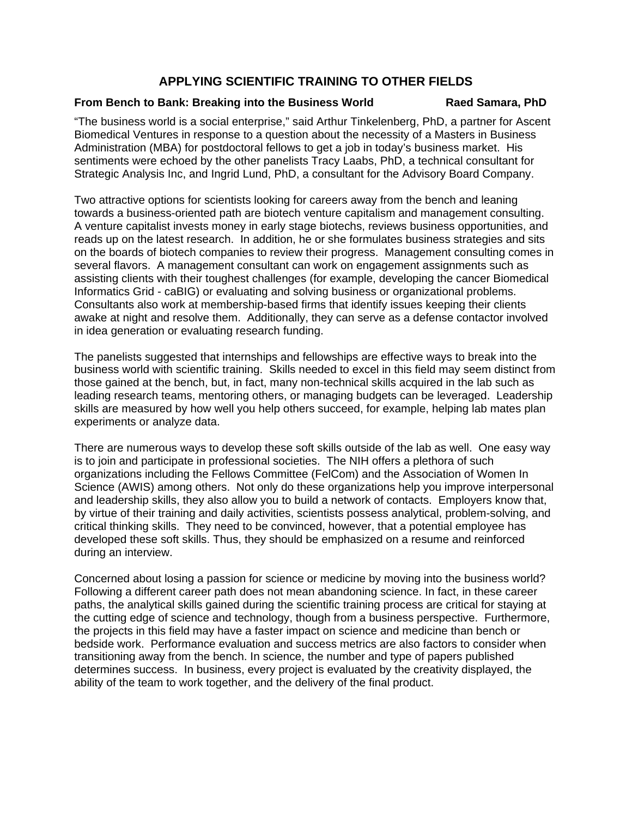## **APPLYING SCIENTIFIC TRAINING TO OTHER FIELDS**

### <span id="page-11-0"></span>**From Bench to Bank: Breaking into the Business World Raed Samara, PhD**

"The business world is a social enterprise," said Arthur Tinkelenberg, PhD, a partner for Ascent Biomedical Ventures in response to a question about the necessity of a Masters in Business Administration (MBA) for postdoctoral fellows to get a job in today's business market. His sentiments were echoed by the other panelists Tracy Laabs, PhD, a technical consultant for Strategic Analysis Inc, and Ingrid Lund, PhD, a consultant for the Advisory Board Company.

Two attractive options for scientists looking for careers away from the bench and leaning towards a business-oriented path are biotech venture capitalism and management consulting. A venture capitalist invests money in early stage biotechs, reviews business opportunities, and reads up on the latest research. In addition, he or she formulates business strategies and sits on the boards of biotech companies to review their progress. Management consulting comes in several flavors. A management consultant can work on engagement assignments such as assisting clients with their toughest challenges (for example, developing the cancer Biomedical Informatics Grid - caBIG) or evaluating and solving business or organizational problems. Consultants also work at membership-based firms that identify issues keeping their clients awake at night and resolve them. Additionally, they can serve as a defense contactor involved in idea generation or evaluating research funding.

The panelists suggested that internships and fellowships are effective ways to break into the business world with scientific training. Skills needed to excel in this field may seem distinct from those gained at the bench, but, in fact, many non-technical skills acquired in the lab such as leading research teams, mentoring others, or managing budgets can be leveraged. Leadership skills are measured by how well you help others succeed, for example, helping lab mates plan experiments or analyze data.

There are numerous ways to develop these soft skills outside of the lab as well. One easy way is to join and participate in professional societies. The NIH offers a plethora of such organizations including the Fellows Committee (FelCom) and the Association of Women In Science (AWIS) among others. Not only do these organizations help you improve interpersonal and leadership skills, they also allow you to build a network of contacts. Employers know that, by virtue of their training and daily activities, scientists possess analytical, problem-solving, and critical thinking skills. They need to be convinced, however, that a potential employee has developed these soft skills. Thus, they should be emphasized on a resume and reinforced during an interview.

Concerned about losing a passion for science or medicine by moving into the business world? Following a different career path does not mean abandoning science. In fact, in these career paths, the analytical skills gained during the scientific training process are critical for staying at the cutting edge of science and technology, though from a business perspective. Furthermore, the projects in this field may have a faster impact on science and medicine than bench or bedside work. Performance evaluation and success metrics are also factors to consider when transitioning away from the bench. In science, the number and type of papers published determines success. In business, every project is evaluated by the creativity displayed, the ability of the team to work together, and the delivery of the final product.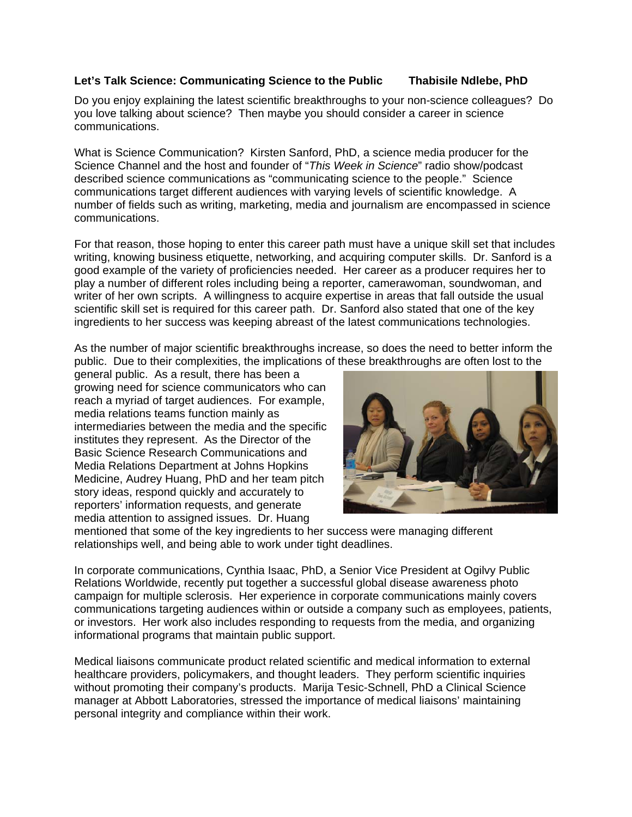### <span id="page-12-0"></span>**Let's Talk Science: Communicating Science to the Public Thabisile Ndlebe, PhD**

Do you enjoy explaining the latest scientific breakthroughs to your non-science colleagues? Do you love talking about science? Then maybe you should consider a career in science communications.

What is Science Communication? Kirsten Sanford, PhD, a science media producer for the Science Channel and the host and founder of "*This Week in Science*" radio show/podcast described science communications as "communicating science to the people." Science communications target different audiences with varying levels of scientific knowledge. A number of fields such as writing, marketing, media and journalism are encompassed in science communications.

For that reason, those hoping to enter this career path must have a unique skill set that includes writing, knowing business etiquette, networking, and acquiring computer skills. Dr. Sanford is a good example of the variety of proficiencies needed. Her career as a producer requires her to play a number of different roles including being a reporter, camerawoman, soundwoman, and writer of her own scripts. A willingness to acquire expertise in areas that fall outside the usual scientific skill set is required for this career path. Dr. Sanford also stated that one of the key ingredients to her success was keeping abreast of the latest communications technologies.

As the number of major scientific breakthroughs increase, so does the need to better inform the public. Due to their complexities, the implications of these breakthroughs are often lost to the

general public. As a result, there has been a growing need for science communicators who can reach a myriad of target audiences. For example, media relations teams function mainly as intermediaries between the media and the specific institutes they represent. As the Director of the Basic Science Research Communications and Media Relations Department at Johns Hopkins Medicine, Audrey Huang, PhD and her team pitch story ideas, respond quickly and accurately to reporters' information requests, and generate media attention to assigned issues. Dr. Huang



mentioned that some of the key ingredients to her success were managing different relationships well, and being able to work under tight deadlines.

In corporate communications, Cynthia Isaac, PhD, a Senior Vice President at Ogilvy Public Relations Worldwide, recently put together a successful global disease awareness photo campaign for multiple sclerosis. Her experience in corporate communications mainly covers communications targeting audiences within or outside a company such as employees, patients, or investors. Her work also includes responding to requests from the media, and organizing informational programs that maintain public support.

Medical liaisons communicate product related scientific and medical information to external healthcare providers, policymakers, and thought leaders. They perform scientific inquiries without promoting their company's products. Marija Tesic-Schnell, PhD a Clinical Science manager at Abbott Laboratories, stressed the importance of medical liaisons' maintaining personal integrity and compliance within their work.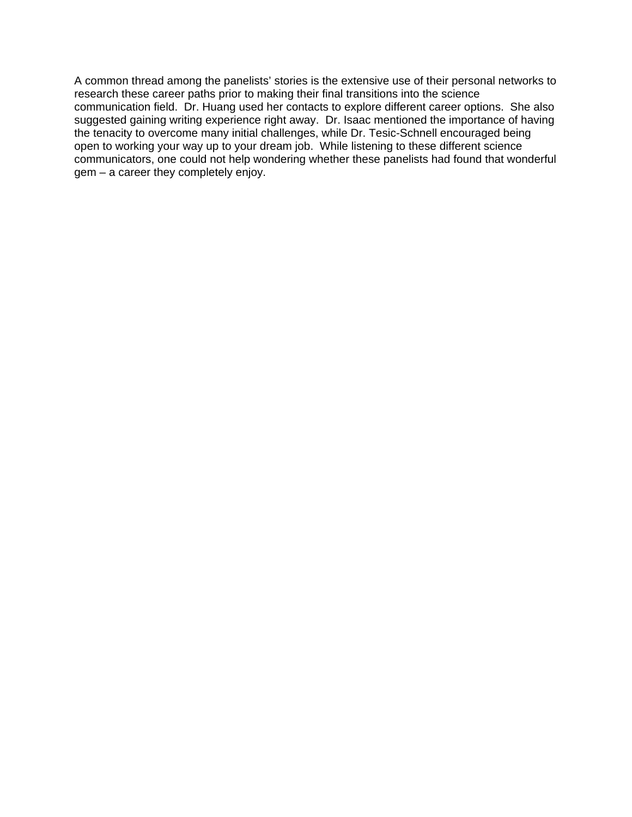A common thread among the panelists' stories is the extensive use of their personal networks to research these career paths prior to making their final transitions into the science communication field. Dr. Huang used her contacts to explore different career options. She also suggested gaining writing experience right away. Dr. Isaac mentioned the importance of having the tenacity to overcome many initial challenges, while Dr. Tesic-Schnell encouraged being open to working your way up to your dream job. While listening to these different science communicators, one could not help wondering whether these panelists had found that wonderful gem – a career they completely enjoy.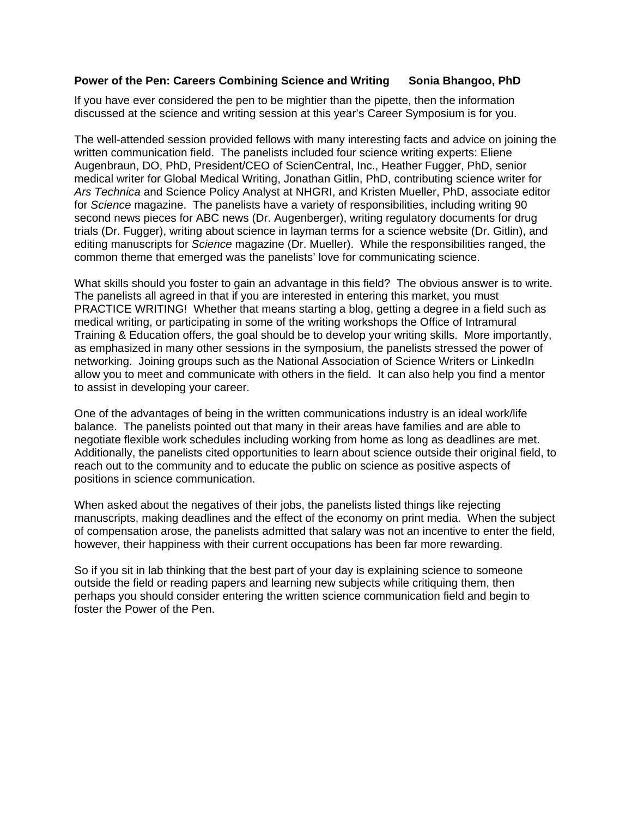#### <span id="page-14-0"></span>**Power of the Pen: Careers Combining Science and Writing Sonia Bhangoo, PhD**

If you have ever considered the pen to be mightier than the pipette, then the information discussed at the science and writing session at this year's Career Symposium is for you.

The well-attended session provided fellows with many interesting facts and advice on joining the written communication field. The panelists included four science writing experts: Eliene Augenbraun, DO, PhD, President/CEO of ScienCentral, Inc., Heather Fugger, PhD, senior medical writer for Global Medical Writing, Jonathan Gitlin, PhD, contributing science writer for *Ars Technica* and Science Policy Analyst at NHGRI, and Kristen Mueller, PhD, associate editor for *Science* magazine. The panelists have a variety of responsibilities, including writing 90 second news pieces for ABC news (Dr. Augenberger), writing regulatory documents for drug trials (Dr. Fugger), writing about science in layman terms for a science website (Dr. Gitlin), and editing manuscripts for *Science* magazine (Dr. Mueller). While the responsibilities ranged, the common theme that emerged was the panelists' love for communicating science.

What skills should you foster to gain an advantage in this field? The obvious answer is to write. The panelists all agreed in that if you are interested in entering this market, you must PRACTICE WRITING! Whether that means starting a blog, getting a degree in a field such as medical writing, or participating in some of the writing workshops the Office of Intramural Training & Education offers, the goal should be to develop your writing skills. More importantly, as emphasized in many other sessions in the symposium, the panelists stressed the power of networking. Joining groups such as the National Association of Science Writers or LinkedIn allow you to meet and communicate with others in the field. It can also help you find a mentor to assist in developing your career.

One of the advantages of being in the written communications industry is an ideal work/life balance. The panelists pointed out that many in their areas have families and are able to negotiate flexible work schedules including working from home as long as deadlines are met. Additionally, the panelists cited opportunities to learn about science outside their original field, to reach out to the community and to educate the public on science as positive aspects of positions in science communication.

When asked about the negatives of their jobs, the panelists listed things like rejecting manuscripts, making deadlines and the effect of the economy on print media. When the subject of compensation arose, the panelists admitted that salary was not an incentive to enter the field, however, their happiness with their current occupations has been far more rewarding.

So if you sit in lab thinking that the best part of your day is explaining science to someone outside the field or reading papers and learning new subjects while critiquing them, then perhaps you should consider entering the written science communication field and begin to foster the Power of the Pen.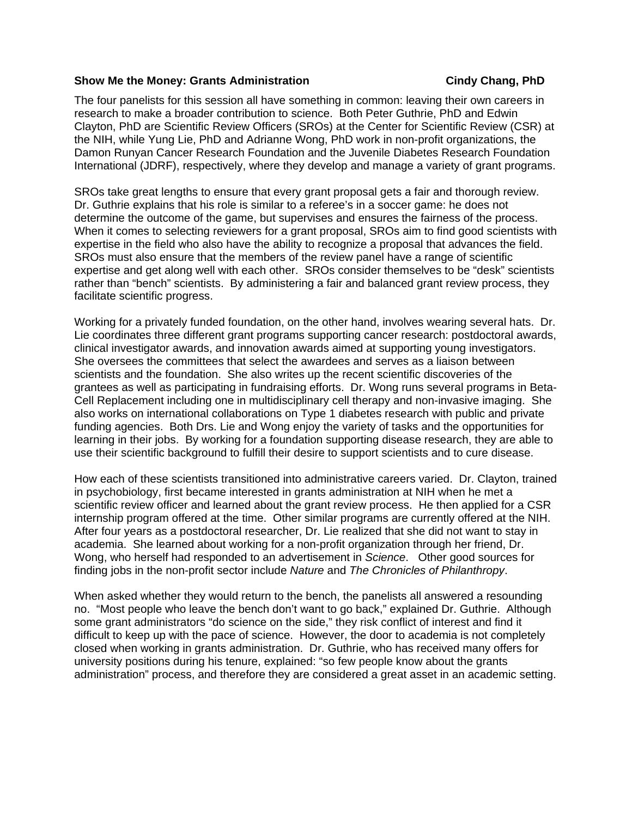#### <span id="page-15-0"></span>**Show Me the Money: Grants Administration Construction Cindy Chang, PhD**

The four panelists for this session all have something in common: leaving their own careers in research to make a broader contribution to science. Both Peter Guthrie, PhD and Edwin Clayton, PhD are Scientific Review Officers (SROs) at the Center for Scientific Review (CSR) at the NIH, while Yung Lie, PhD and Adrianne Wong, PhD work in non-profit organizations, the Damon Runyan Cancer Research Foundation and the Juvenile Diabetes Research Foundation International (JDRF), respectively, where they develop and manage a variety of grant programs.

SROs take great lengths to ensure that every grant proposal gets a fair and thorough review. Dr. Guthrie explains that his role is similar to a referee's in a soccer game: he does not determine the outcome of the game, but supervises and ensures the fairness of the process. When it comes to selecting reviewers for a grant proposal, SROs aim to find good scientists with expertise in the field who also have the ability to recognize a proposal that advances the field. SROs must also ensure that the members of the review panel have a range of scientific expertise and get along well with each other. SROs consider themselves to be "desk" scientists rather than "bench" scientists. By administering a fair and balanced grant review process, they facilitate scientific progress.

Working for a privately funded foundation, on the other hand, involves wearing several hats. Dr. Lie coordinates three different grant programs supporting cancer research: postdoctoral awards, clinical investigator awards, and innovation awards aimed at supporting young investigators. She oversees the committees that select the awardees and serves as a liaison between scientists and the foundation. She also writes up the recent scientific discoveries of the grantees as well as participating in fundraising efforts. Dr. Wong runs several programs in Beta-Cell Replacement including one in multidisciplinary cell therapy and non-invasive imaging. She also works on international collaborations on Type 1 diabetes research with public and private funding agencies. Both Drs. Lie and Wong enjoy the variety of tasks and the opportunities for learning in their jobs. By working for a foundation supporting disease research, they are able to use their scientific background to fulfill their desire to support scientists and to cure disease.

How each of these scientists transitioned into administrative careers varied. Dr. Clayton, trained in psychobiology, first became interested in grants administration at NIH when he met a scientific review officer and learned about the grant review process. He then applied for a CSR internship program offered at the time. Other similar programs are currently offered at the NIH. After four years as a postdoctoral researcher, Dr. Lie realized that she did not want to stay in academia. She learned about working for a non-profit organization through her friend, Dr. Wong, who herself had responded to an advertisement in *Science*. Other good sources for finding jobs in the non-profit sector include *Nature* and *The Chronicles of Philanthropy*.

When asked whether they would return to the bench, the panelists all answered a resounding no. "Most people who leave the bench don't want to go back," explained Dr. Guthrie. Although some grant administrators "do science on the side," they risk conflict of interest and find it difficult to keep up with the pace of science. However, the door to academia is not completely closed when working in grants administration. Dr. Guthrie, who has received many offers for university positions during his tenure, explained: "so few people know about the grants administration" process, and therefore they are considered a great asset in an academic setting.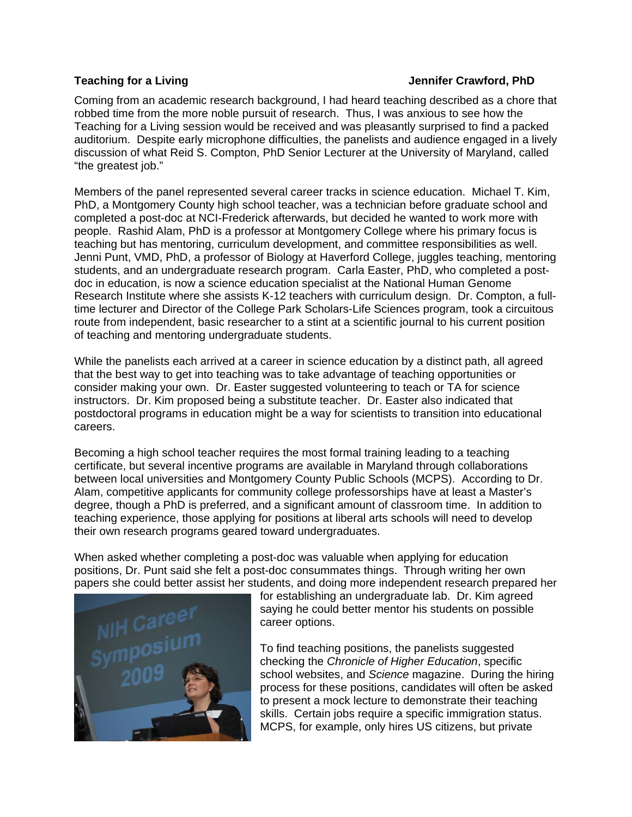#### <span id="page-16-0"></span>**Teaching for a Living Community Community Community Community Community Crawford, PhD**

Coming from an academic research background, I had heard teaching described as a chore that robbed time from the more noble pursuit of research. Thus, I was anxious to see how the Teaching for a Living session would be received and was pleasantly surprised to find a packed auditorium. Despite early microphone difficulties, the panelists and audience engaged in a lively discussion of what Reid S. Compton, PhD Senior Lecturer at the University of Maryland, called "the greatest job."

Members of the panel represented several career tracks in science education. Michael T. Kim, PhD, a Montgomery County high school teacher, was a technician before graduate school and completed a post-doc at NCI-Frederick afterwards, but decided he wanted to work more with people. Rashid Alam, PhD is a professor at Montgomery College where his primary focus is teaching but has mentoring, curriculum development, and committee responsibilities as well. Jenni Punt, VMD, PhD, a professor of Biology at Haverford College, juggles teaching, mentoring students, and an undergraduate research program. Carla Easter, PhD, who completed a postdoc in education, is now a science education specialist at the National Human Genome Research Institute where she assists K-12 teachers with curriculum design. Dr. Compton, a fulltime lecturer and Director of the College Park Scholars-Life Sciences program, took a circuitous route from independent, basic researcher to a stint at a scientific journal to his current position of teaching and mentoring undergraduate students.

While the panelists each arrived at a career in science education by a distinct path, all agreed that the best way to get into teaching was to take advantage of teaching opportunities or consider making your own. Dr. Easter suggested volunteering to teach or TA for science instructors. Dr. Kim proposed being a substitute teacher. Dr. Easter also indicated that postdoctoral programs in education might be a way for scientists to transition into educational careers.

Becoming a high school teacher requires the most formal training leading to a teaching certificate, but several incentive programs are available in Maryland through collaborations between local universities and Montgomery County Public Schools (MCPS). According to Dr. Alam, competitive applicants for community college professorships have at least a Master's degree, though a PhD is preferred, and a significant amount of classroom time. In addition to teaching experience, those applying for positions at liberal arts schools will need to develop their own research programs geared toward undergraduates.

When asked whether completing a post-doc was valuable when applying for education positions, Dr. Punt said she felt a post-doc consummates things. Through writing her own papers she could better assist her students, and doing more independent research prepared her



for establishing an undergraduate lab. Dr. Kim agreed saying he could better mentor his students on possible career options.

To find teaching positions, the panelists suggested checking the *Chronicle of Higher Education*, specific school websites, and *Science* magazine. During the hiring process for these positions, candidates will often be asked to present a mock lecture to demonstrate their teaching skills. Certain jobs require a specific immigration status. MCPS, for example, only hires US citizens, but private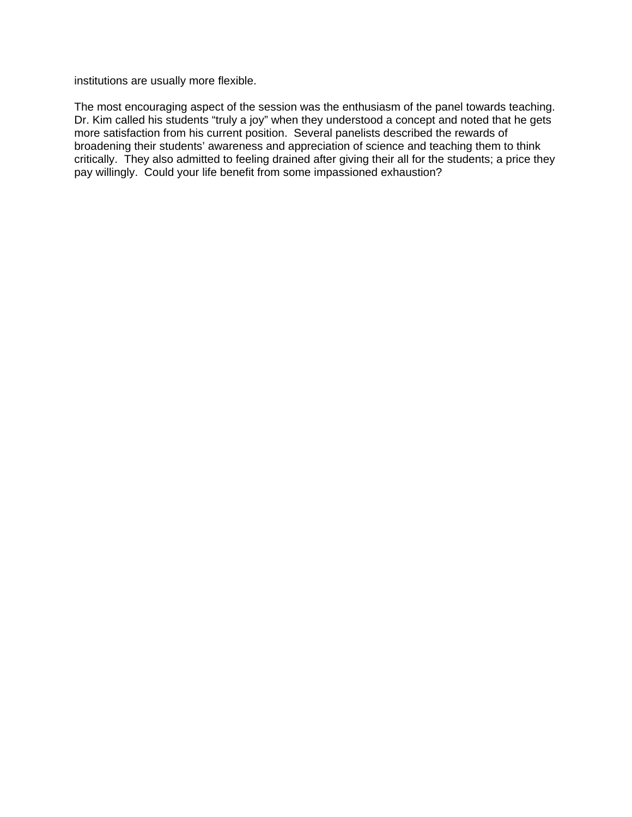institutions are usually more flexible.

The most encouraging aspect of the session was the enthusiasm of the panel towards teaching. Dr. Kim called his students "truly a joy" when they understood a concept and noted that he gets more satisfaction from his current position. Several panelists described the rewards of broadening their students' awareness and appreciation of science and teaching them to think critically. They also admitted to feeling drained after giving their all for the students; a price they pay willingly. Could your life benefit from some impassioned exhaustion?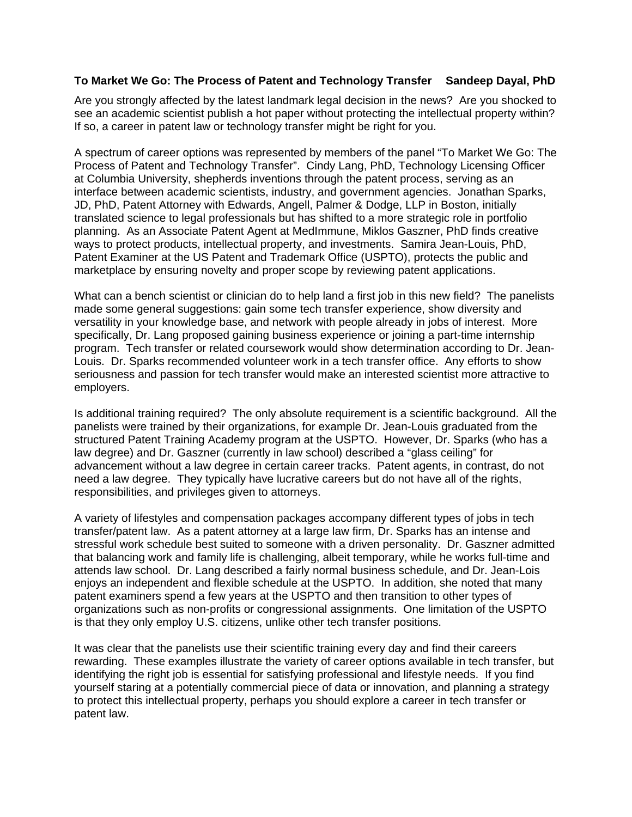### <span id="page-18-0"></span>**To Market We Go: The Process of Patent and Technology Transfer Sandeep Dayal, PhD**

Are you strongly affected by the latest landmark legal decision in the news? Are you shocked to see an academic scientist publish a hot paper without protecting the intellectual property within? If so, a career in patent law or technology transfer might be right for you.

A spectrum of career options was represented by members of the panel "To Market We Go: The Process of Patent and Technology Transfer". Cindy Lang, PhD, Technology Licensing Officer at Columbia University, shepherds inventions through the patent process, serving as an interface between academic scientists, industry, and government agencies. Jonathan Sparks, JD, PhD, Patent Attorney with Edwards, Angell, Palmer & Dodge, LLP in Boston, initially translated science to legal professionals but has shifted to a more strategic role in portfolio planning. As an Associate Patent Agent at MedImmune, Miklos Gaszner, PhD finds creative ways to protect products, intellectual property, and investments. Samira Jean-Louis, PhD, Patent Examiner at the US Patent and Trademark Office (USPTO), protects the public and marketplace by ensuring novelty and proper scope by reviewing patent applications.

What can a bench scientist or clinician do to help land a first job in this new field? The panelists made some general suggestions: gain some tech transfer experience, show diversity and versatility in your knowledge base, and network with people already in jobs of interest. More specifically, Dr. Lang proposed gaining business experience or joining a part-time internship program. Tech transfer or related coursework would show determination according to Dr. Jean-Louis. Dr. Sparks recommended volunteer work in a tech transfer office. Any efforts to show seriousness and passion for tech transfer would make an interested scientist more attractive to employers.

Is additional training required? The only absolute requirement is a scientific background. All the panelists were trained by their organizations, for example Dr. Jean-Louis graduated from the structured Patent Training Academy program at the USPTO. However, Dr. Sparks (who has a law degree) and Dr. Gaszner (currently in law school) described a "glass ceiling" for advancement without a law degree in certain career tracks. Patent agents, in contrast, do not need a law degree. They typically have lucrative careers but do not have all of the rights, responsibilities, and privileges given to attorneys.

A variety of lifestyles and compensation packages accompany different types of jobs in tech transfer/patent law. As a patent attorney at a large law firm, Dr. Sparks has an intense and stressful work schedule best suited to someone with a driven personality. Dr. Gaszner admitted that balancing work and family life is challenging, albeit temporary, while he works full-time and attends law school. Dr. Lang described a fairly normal business schedule, and Dr. Jean-Lois enjoys an independent and flexible schedule at the USPTO. In addition, she noted that many patent examiners spend a few years at the USPTO and then transition to other types of organizations such as non-profits or congressional assignments. One limitation of the USPTO is that they only employ U.S. citizens, unlike other tech transfer positions.

It was clear that the panelists use their scientific training every day and find their careers rewarding. These examples illustrate the variety of career options available in tech transfer, but identifying the right job is essential for satisfying professional and lifestyle needs. If you find yourself staring at a potentially commercial piece of data or innovation, and planning a strategy to protect this intellectual property, perhaps you should explore a career in tech transfer or patent law.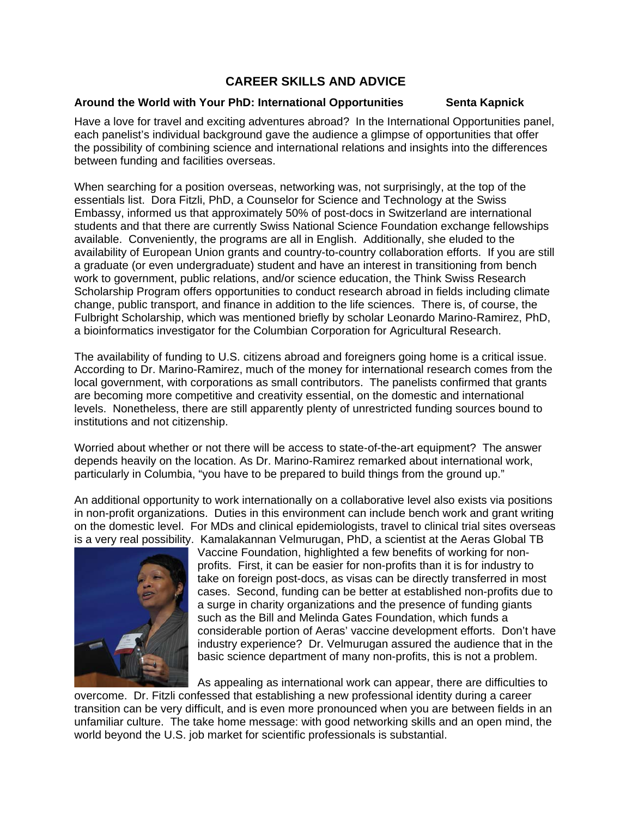# **CAREER SKILLS AND ADVICE**

### <span id="page-19-0"></span>**Around the World with Your PhD: International Opportunities Senta Kapnick**

Have a love for travel and exciting adventures abroad? In the International Opportunities panel, each panelist's individual background gave the audience a glimpse of opportunities that offer the possibility of combining science and international relations and insights into the differences between funding and facilities overseas.

When searching for a position overseas, networking was, not surprisingly, at the top of the essentials list. Dora Fitzli, PhD, a Counselor for Science and Technology at the Swiss Embassy, informed us that approximately 50% of post-docs in Switzerland are international students and that there are currently Swiss National Science Foundation exchange fellowships available. Conveniently, the programs are all in English. Additionally, she eluded to the availability of European Union grants and country-to-country collaboration efforts. If you are still a graduate (or even undergraduate) student and have an interest in transitioning from bench work to government, public relations, and/or science education, the Think Swiss Research Scholarship Program offers opportunities to conduct research abroad in fields including climate change, public transport, and finance in addition to the life sciences. There is, of course, the Fulbright Scholarship, which was mentioned briefly by scholar Leonardo Marino-Ramirez, PhD, a bioinformatics investigator for the Columbian Corporation for Agricultural Research.

The availability of funding to U.S. citizens abroad and foreigners going home is a critical issue. According to Dr. Marino-Ramirez, much of the money for international research comes from the local government, with corporations as small contributors. The panelists confirmed that grants are becoming more competitive and creativity essential, on the domestic and international levels. Nonetheless, there are still apparently plenty of unrestricted funding sources bound to institutions and not citizenship.

Worried about whether or not there will be access to state-of-the-art equipment? The answer depends heavily on the location. As Dr. Marino-Ramirez remarked about international work, particularly in Columbia, "you have to be prepared to build things from the ground up."

An additional opportunity to work internationally on a collaborative level also exists via positions in non-profit organizations. Duties in this environment can include bench work and grant writing on the domestic level. For MDs and clinical epidemiologists, travel to clinical trial sites overseas is a very real possibility. Kamalakannan Velmurugan, PhD, a scientist at the Aeras Global TB



Vaccine Foundation, highlighted a few benefits of working for nonprofits. First, it can be easier for non-profits than it is for industry to take on foreign post-docs, as visas can be directly transferred in most cases. Second, funding can be better at established non-profits due to a surge in charity organizations and the presence of funding giants such as the Bill and Melinda Gates Foundation, which funds a considerable portion of Aeras' vaccine development efforts. Don't have industry experience? Dr. Velmurugan assured the audience that in the basic science department of many non-profits, this is n ot a problem.

As appealing as international work can appear, there are difficulties to overcome. Dr. Fitzli confessed that establishing a new professional identity during a career transition can be very difficult, and is even more pronounced when you are between fields in an unfamiliar culture. The take home message: with good networking skills and an open mind, the world beyond the U.S. job market for scientific professionals is substantial.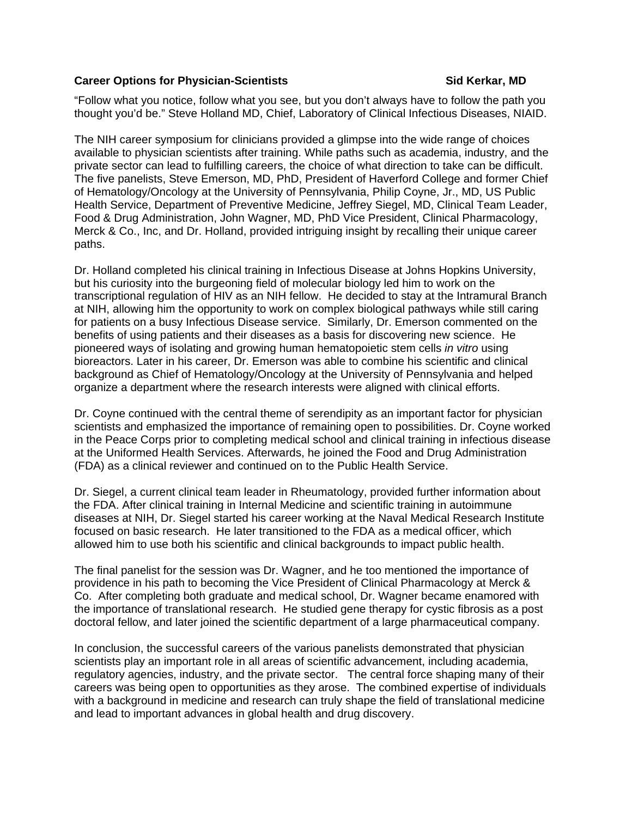#### <span id="page-20-0"></span>**Career Options for Physician-Scientists Career Sid Kerkar, MD**

"Follow what you notice, follow what you see, but you don't always have to follow the path you thought you'd be." Steve Holland MD, Chief, Laboratory of Clinical Infectious Diseases, NIAID.

The NIH career symposium for clinicians provided a glimpse into the wide range of choices available to physician scientists after training. While paths such as academia, industry, and the private sector can lead to fulfilling careers, the choice of what direction to take can be difficult. The five panelists, Steve Emerson, MD, PhD, President of Haverford College and former Chief of Hematology/Oncology at the University of Pennsylvania, Philip Coyne, Jr., MD, US Public Health Service, Department of Preventive Medicine, Jeffrey Siegel, MD, Clinical Team Leader, Food & Drug Administration, John Wagner, MD, PhD Vice President, Clinical Pharmacology, Merck & Co., Inc, and Dr. Holland, provided intriguing insight by recalling their unique career paths.

Dr. Holland completed his clinical training in Infectious Disease at Johns Hopkins University, but his curiosity into the burgeoning field of molecular biology led him to work on the transcriptional regulation of HIV as an NIH fellow. He decided to stay at the Intramural Branch at NIH, allowing him the opportunity to work on complex biological pathways while still caring for patients on a busy Infectious Disease service. Similarly, Dr. Emerson commented on the benefits of using patients and their diseases as a basis for discovering new science. He pioneered ways of isolating and growing human hematopoietic stem cells *in vitro* using bioreactors. Later in his career, Dr. Emerson was able to combine his scientific and clinical background as Chief of Hematology/Oncology at the University of Pennsylvania and helped organize a department where the research interests were aligned with clinical efforts.

Dr. Coyne continued with the central theme of serendipity as an important factor for physician scientists and emphasized the importance of remaining open to possibilities. Dr. Coyne worked in the Peace Corps prior to completing medical school and clinical training in infectious disease at the Uniformed Health Services. Afterwards, he joined the Food and Drug Administration (FDA) as a clinical reviewer and continued on to the Public Health Service.

Dr. Siegel, a current clinical team leader in Rheumatology, provided further information about the FDA. After clinical training in Internal Medicine and scientific training in autoimmune diseases at NIH, Dr. Siegel started his career working at the Naval Medical Research Institute focused on basic research. He later transitioned to the FDA as a medical officer, which allowed him to use both his scientific and clinical backgrounds to impact public health.

The final panelist for the session was Dr. Wagner, and he too mentioned the importance of providence in his path to becoming the Vice President of Clinical Pharmacology at Merck & Co. After completing both graduate and medical school, Dr. Wagner became enamored with the importance of translational research. He studied gene therapy for cystic fibrosis as a post doctoral fellow, and later joined the scientific department of a large pharmaceutical company.

In conclusion, the successful careers of the various panelists demonstrated that physician scientists play an important role in all areas of scientific advancement, including academia, regulatory agencies, industry, and the private sector. The central force shaping many of their careers was being open to opportunities as they arose. The combined expertise of individuals with a background in medicine and research can truly shape the field of translational medicine and lead to important advances in global health and drug discovery.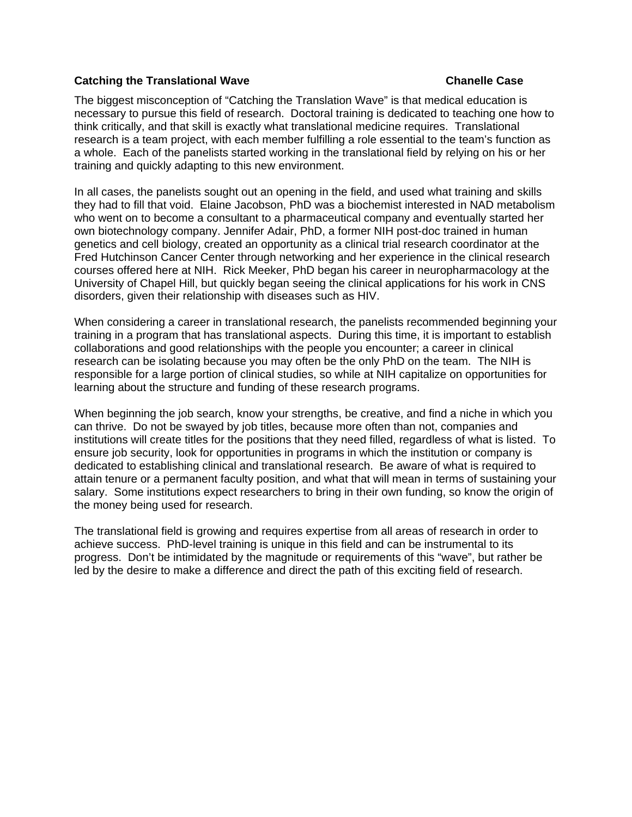#### <span id="page-21-0"></span>**Catching the Translational Wave Chanelle Case Chanelle Case According the Chanelle Case**

The biggest misconception of "Catching the Translation Wave" is that medical education is necessary to pursue this field of research. Doctoral training is dedicated to teaching one how to think critically, and that skill is exactly what translational medicine requires. Translational research is a team project, with each member fulfilling a role essential to the team's function as a whole. Each of the panelists started working in the translational field by relying on his or her training and quickly adapting to this new environment.

In all cases, the panelists sought out an opening in the field, and used what training and skills they had to fill that void. Elaine Jacobson, PhD was a biochemist interested in NAD metabolism who went on to become a consultant to a pharmaceutical company and eventually started her own biotechnology company. Jennifer Adair, PhD, a former NIH post-doc trained in human genetics and cell biology, created an opportunity as a clinical trial research coordinator at the Fred Hutchinson Cancer Center through networking and her experience in the clinical research courses offered here at NIH. Rick Meeker, PhD began his career in neuropharmacology at the University of Chapel Hill, but quickly began seeing the clinical applications for his work in CNS disorders, given their relationship with diseases such as HIV.

When considering a career in translational research, the panelists recommended beginning your training in a program that has translational aspects. During this time, it is important to establish collaborations and good relationships with the people you encounter; a career in clinical research can be isolating because you may often be the only PhD on the team. The NIH is responsible for a large portion of clinical studies, so while at NIH capitalize on opportunities for learning about the structure and funding of these research programs.

When beginning the job search, know your strengths, be creative, and find a niche in which you can thrive. Do not be swayed by job titles, because more often than not, companies and institutions will create titles for the positions that they need filled, regardless of what is listed. To ensure job security, look for opportunities in programs in which the institution or company is dedicated to establishing clinical and translational research. Be aware of what is required to attain tenure or a permanent faculty position, and what that will mean in terms of sustaining your salary. Some institutions expect researchers to bring in their own funding, so know the origin of the money being used for research.

The translational field is growing and requires expertise from all areas of research in order to achieve success. PhD-level training is unique in this field and can be instrumental to its progress. Don't be intimidated by the magnitude or requirements of this "wave", but rather be led by the desire to make a difference and direct the path of this exciting field of research.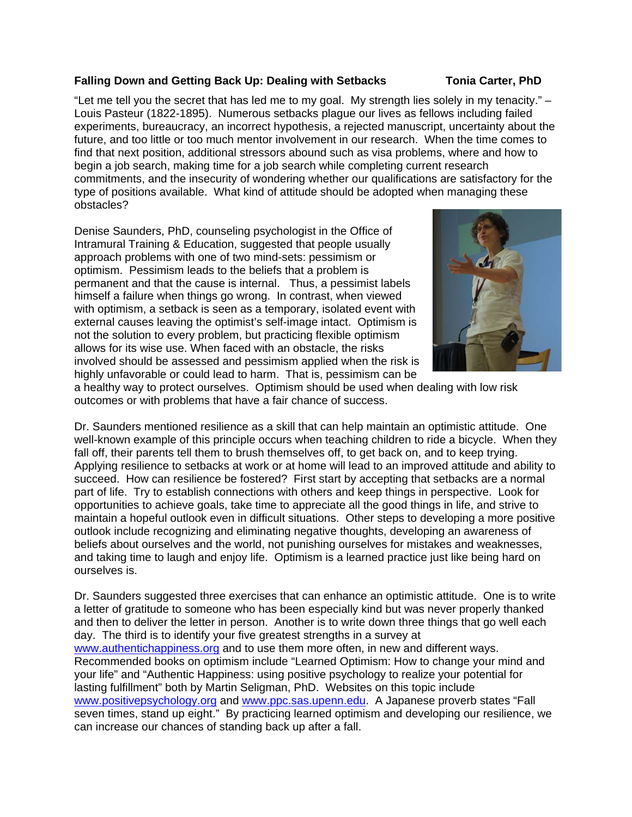### <span id="page-22-0"></span>**Falling Down and Getting Back Up: Dealing with Setbacks Tonia Carter, PhD**

"Let me tell you the secret that has led me to my goal. My strength lies solely in my tenacity."  $-$ Louis Pasteur (1822-1895). Numerous setbacks plague our lives as fellows including failed experiments, bureaucracy, an incorrect hypothesis, a rejected manuscript, uncertainty about the future, and too little or too much mentor involvement in our research. When the time comes to find that next position, additional stressors abound such as visa problems, where and how to begin a job search, making time for a job search while completing current research commitments, and the insecurity of wondering whether our qualifications are satisfactory for the type of positions available. What kind of attitude should be adopted when managing these obstacles?

Denise Saunders, PhD, counseling psychologist in the Office of Intramural Training & Education, suggested that people usually approach problems with one of two mind-sets: pessimism or optimism. Pessimism leads to the beliefs that a problem is permanent and that the cause is internal. Thus, a pessimist labels himself a failure when things go wrong. In contrast, when viewed with optimism, a setback is seen as a temporary, isolated event with external causes leaving the optimist's self-image intact. Optimism is not the solution to every problem, but practicing flexible optimism allows for its wise use. When faced with an obstacle, the risks involved should be assessed and pessimism applied when the risk is highly unfavorable or could lead to harm. That is, pessimism can be



a healthy way to protect ourselves. Optimism should be used when dealing with low risk outcomes or with problems that have a fair chance of success.

Dr. Saunders mentioned resilience as a skill that can help maintain an optimistic attitude. One well-known example of this principle occurs when teaching children to ride a bicycle. When they fall off, their parents tell them to brush themselves off, to get back on, and to keep trying. Applying resilience to setbacks at work or at home will lead to an improved attitude and ability to succeed. How can resilience be fostered? First start by accepting that setbacks are a normal part of life. Try to establish connections with others and keep things in perspective. Look for opportunities to achieve goals, take time to appreciate all the good things in life, and strive to maintain a hopeful outlook even in difficult situations. Other steps to developing a more positive outlook include recognizing and eliminating negative thoughts, developing an awareness of beliefs about ourselves and the world, not punishing ourselves for mistakes and weaknesses, and taking time to laugh and enjoy life. Optimism is a learned practice just like being hard on ourselves is.

Dr. Saunders suggested three exercises that can enhance an optimistic attitude. One is to write a letter of gratitude to someone who has been especially kind but was never properly thanked and then to deliver the letter in person. Another is to write down three things that go well each day. The third is to identify your five greatest strengths in a survey at [www.authentichappiness.org](http://www.authentichappiness.org) and to use them more often, in new and different ways. Recommended books on optimism include "Learned Optimism: How to change your mind and your life" and "Authentic Happiness: using positive psychology to realize your potential for lasting fulfillment" both by Martin Seligman, PhD. Websites on this topic include [www.positivepsychology.org](http://www.positivepsychology.org) and [www.ppc.sas.upenn.edu](http://www.ppc.sas.upenn.edu). A Japanese proverb states "Fall seven times, stand up eight." By practicing learned optimism and developing our resilience, we can increase our chances of standing back up after a fall.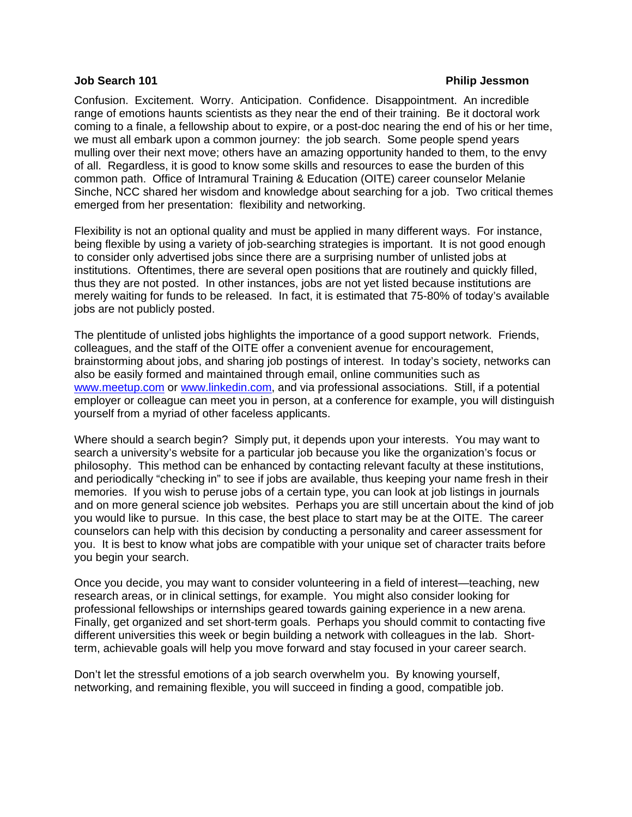#### <span id="page-23-0"></span>**Job Search 101 Philip Jessmon**

Confusion. Excitement. Worry. Anticipation. Confidence. Disappointment. An incredible range of emotions haunts scientists as they near the end of their training. Be it doctoral work coming to a finale, a fellowship about to expire, or a post-doc nearing the end of his or her time, we must all embark upon a common journey: the job search. Some people spend years mulling over their next move; others have an amazing opportunity handed to them, to the envy of all. Regardless, it is good to know some skills and resources to ease the burden of this common path. Office of Intramural Training & Education (OITE) career counselor Melanie Sinche, NCC shared her wisdom and knowledge about searching for a job. Two critical themes emerged from her presentation: flexibility and networking.

Flexibility is not an optional quality and must be applied in many different ways. For instance, being flexible by using a variety of job-searching strategies is important. It is not good enough to consider only advertised jobs since there are a surprising number of unlisted jobs at institutions. Oftentimes, there are several open positions that are routinely and quickly filled, thus they are not posted. In other instances, jobs are not yet listed because institutions are merely waiting for funds to be released. In fact, it is estimated that 75-80% of today's available jobs are not publicly posted.

The plentitude of unlisted jobs highlights the importance of a good support network. Friends, colleagues, and the staff of the OITE offer a convenient avenue for encouragement, brainstorming about jobs, and sharing job postings of interest. In today's society, networks can also be easily formed and maintained through email, online communities such as [www.meetup.com](http://www.meetup.com) or [www.linkedin.com](http://www.linkedin.com), and via professional associations. Still, if a potential employer or colleague can meet you in person, at a conference for example, you will distinguish yourself from a myriad of other faceless applicants.

Where should a search begin? Simply put, it depends upon your interests. You may want to search a university's website for a particular job because you like the organization's focus or philosophy. This method can be enhanced by contacting relevant faculty at these institutions, and periodically "checking in" to see if jobs are available, thus keeping your name fresh in their memories. If you wish to peruse jobs of a certain type, you can look at job listings in journals and on more general science job websites. Perhaps you are still uncertain about the kind of job you would like to pursue. In this case, the best place to start may be at the OITE. The career counselors can help with this decision by conducting a personality and career assessment for you. It is best to know what jobs are compatible with your unique set of character traits before you begin your search.

Once you decide, you may want to consider volunteering in a field of interest—teaching, new research areas, or in clinical settings, for example. You might also consider looking for professional fellowships or internships geared towards gaining experience in a new arena. Finally, get organized and set short-term goals. Perhaps you should commit to contacting five different universities this week or begin building a network with colleagues in the lab. Shortterm, achievable goals will help you move forward and stay focused in your career search.

Don't let the stressful emotions of a job search overwhelm you. By knowing yourself, networking, and remaining flexible, you will succeed in finding a good, compatible job.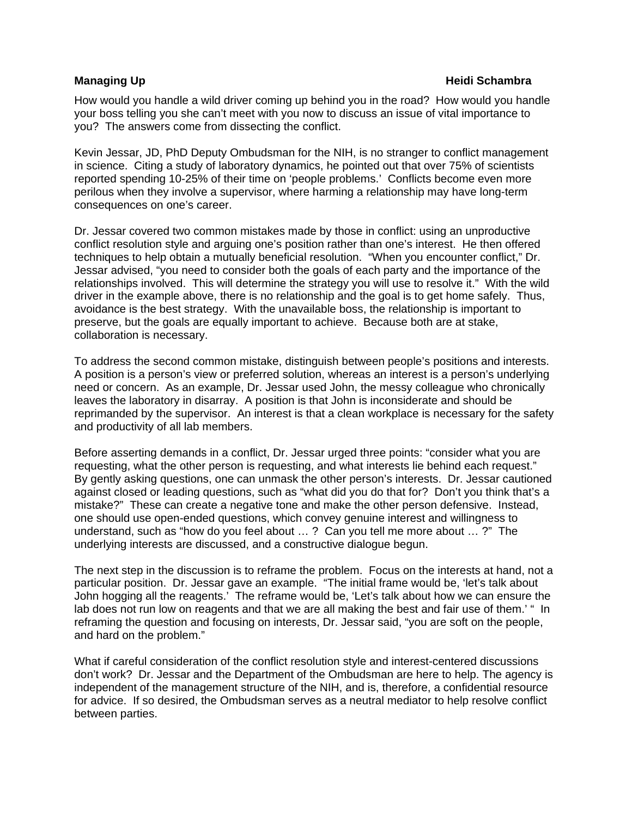#### <span id="page-24-0"></span>**Managing Up All 2003 Contracts and Contracts Contracts and Contracts and Contracts All 2003 Contracts and Contracts A**

How would you handle a wild driver coming up behind you in the road? How would you handle your boss telling you she can't meet with you now to discuss an issue of vital importance to you? The answers come from dissecting the conflict.

Kevin Jessar, JD, PhD Deputy Ombudsman for the NIH, is no stranger to conflict management in science. Citing a study of laboratory dynamics, he pointed out that over 75% of scientists reported spending 10-25% of their time on 'people problems.' Conflicts become even more perilous when they involve a supervisor, where harming a relationship may have long-term consequences on one's career.

Dr. Jessar covered two common mistakes made by those in conflict: using an unproductive conflict resolution style and arguing one's position rather than one's interest. He then offered techniques to help obtain a mutually beneficial resolution. "When you encounter conflict," Dr. Jessar advised, "you need to consider both the goals of each party and the importance of the relationships involved. This will determine the strategy you will use to resolve it." With the wild driver in the example above, there is no relationship and the goal is to get home safely. Thus, avoidance is the best strategy. With the unavailable boss, the relationship is important to preserve, but the goals are equally important to achieve. Because both are at stake, collaboration is necessary.

To address the second common mistake, distinguish between people's positions and interests. A position is a person's view or preferred solution, whereas an interest is a person's underlying need or concern. As an example, Dr. Jessar used John, the messy colleague who chronically leaves the laboratory in disarray. A position is that John is inconsiderate and should be reprimanded by the supervisor. An interest is that a clean workplace is necessary for the safety and productivity of all lab members.

Before asserting demands in a conflict, Dr. Jessar urged three points: "consider what you are requesting, what the other person is requesting, and what interests lie behind each request." By gently asking questions, one can unmask the other person's interests. Dr. Jessar cautioned against closed or leading questions, such as "what did you do that for? Don't you think that's a mistake?" These can create a negative tone and make the other person defensive. Instead, one should use open-ended questions, which convey genuine interest and willingness to understand, such as "how do you feel about … ? Can you tell me more about … ?" The underlying interests are discussed, and a constructive dialogue begun.

The next step in the discussion is to reframe the problem. Focus on the interests at hand, not a particular position. Dr. Jessar gave an example. "The initial frame would be, 'let's talk about John hogging all the reagents.' The reframe would be, 'Let's talk about how we can ensure the lab does not run low on reagents and that we are all making the best and fair use of them.' " In reframing the question and focusing on interests, Dr. Jessar said, "you are soft on the people, and hard on the problem."

What if careful consideration of the conflict resolution style and interest-centered discussions don't work? Dr. Jessar and the Department of the Ombudsman are here to help. The agency is independent of the management structure of the NIH, and is, therefore, a confidential resource for advice. If so desired, the Ombudsman serves as a neutral mediator to help resolve conflict between parties.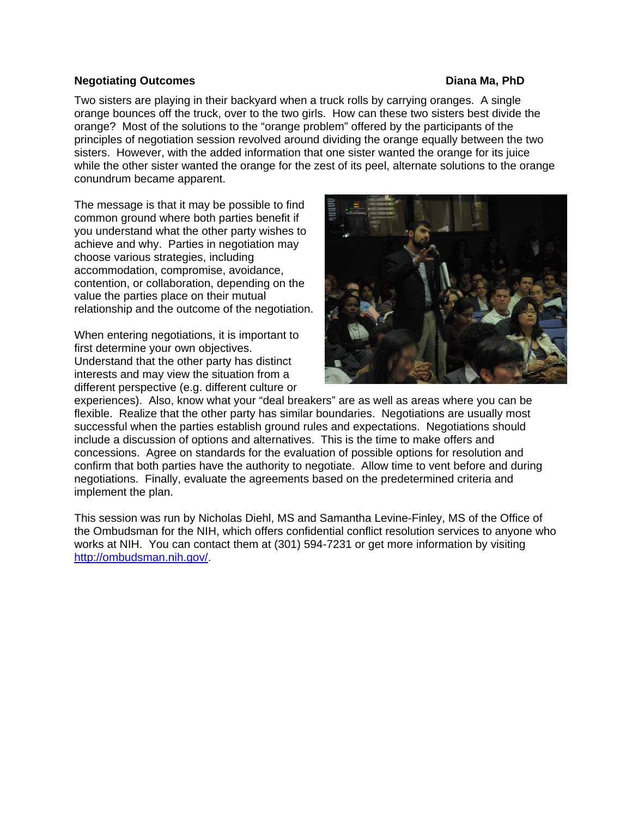#### <span id="page-25-0"></span>**Negotiating Outcomes Diana Ma, PhD**

Two sisters are playing in their backyard when a truck rolls by carrying oranges. A single orange bounces off the truck, over to the two girls. How can these two sisters best divide the orange? Most of the solutions to the "orange problem" offered by the participants of the principles of negotiation session revolved around dividing the orange equally between the two sisters. However, with the added information that one sister wanted the orange for its juice while the other sister wanted the orange for the zest of its peel, alternate solutions to the orange conundrum became apparent.

The message is that it may be possible to find common ground where both parties benefit if you understand what the other party wishes to achieve and why. Parties in negotiation may choose various strategies, including accommodation, compromise, avoidance, contention, or collaboration, depending on the value the parties place on their mutual relationship and the outcome of the negotiation.

When entering negotiations, it is important to first determine your own objectives. Understand that the other party has distinct interests and may view the situation from a different perspective (e.g. different culture or



experiences). Also, know what your "deal breakers" are as well as areas where you can be flexible. Realize that the other party has similar boundaries. Negotiations are usually most successful when the parties establish ground rules and expectations. Negotiations should include a discussion of options and alternatives. This is the time to make offers and concessions. Agree on standards for the evaluation of possible options for resolution and confirm that both parties have the authority to negotiate. Allow time to vent before and during negotiations. Finally, evaluate the agreements based on the predetermined criteria and implement the plan.

This session was run by Nicholas Diehl, MS and Samantha Levine-Finley, MS of the Office of the Ombudsman for the NIH, which offers confidential conflict resolution services to anyone who works at NIH. You can contact them at (301) 594-7231 or get more information by visiting [http://ombudsman.nih.gov/.](http://ombudsman.nih.gov/)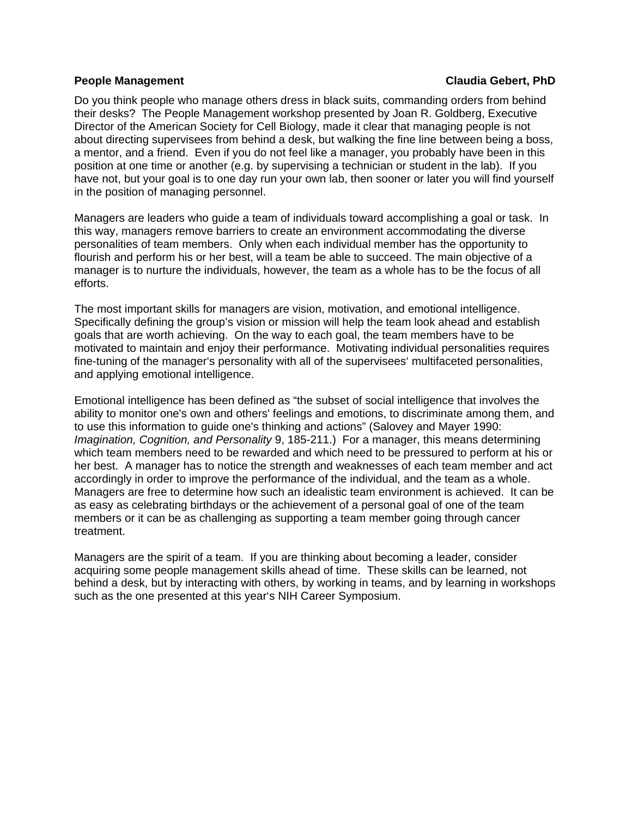#### <span id="page-26-0"></span>**People Management Claudia Gebert, PhD**

Do you think people who manage others dress in black suits, commanding orders from behind their desks? The People Management workshop presented by Joan R. Goldberg, Executive Director of the American Society for Cell Biology, made it clear that managing people is not about directing supervisees from behind a desk, but walking the fine line between being a boss, a mentor, and a friend. Even if you do not feel like a manager, you probably have been in this position at one time or another (e.g. by supervising a technician or student in the lab). If you have not, but your goal is to one day run your own lab, then sooner or later you will find yourself in the position of managing personnel.

Managers are leaders who guide a team of individuals toward accomplishing a goal or task. In this way, managers remove barriers to create an environment accommodating the diverse personalities of team members. Only when each individual member has the opportunity to flourish and perform his or her best, will a team be able to succeed. The main objective of a manager is to nurture the individuals, however, the team as a whole has to be the focus of all efforts.

The most important skills for managers are vision, motivation, and emotional intelligence. Specifically defining the group's vision or mission will help the team look ahead and establish goals that are worth achieving. On the way to each goal, the team members have to be motivated to maintain and enjoy their performance. Motivating individual personalities requires fine-tuning of the manager's personality with all of the supervisees' multifaceted personalities, and applying emotional intelligence.

Emotional intelligence has been defined as "the subset of social intelligence that involves the ability to monitor one's own and others' feelings and emotions, to discriminate among them, and to use this information to guide one's thinking and actions" (Salovey and Mayer 1990: *Imagination, Cognition, and Personality* 9, 185-211.) For a manager, this means determining which team members need to be rewarded and which need to be pressured to perform at his or her best. A manager has to notice the strength and weaknesses of each team member and act accordingly in order to improve the performance of the individual, and the team as a whole. Managers are free to determine how such an idealistic team environment is achieved. It can be as easy as celebrating birthdays or the achievement of a personal goal of one of the team members or it can be as challenging as supporting a team member going through cancer treatment.

Managers are the spirit of a team. If you are thinking about becoming a leader, consider acquiring some people management skills ahead of time. These skills can be learned, not behind a desk, but by interacting with others, by working in teams, and by learning in workshops such as the one presented at this year's NIH Career Symposium.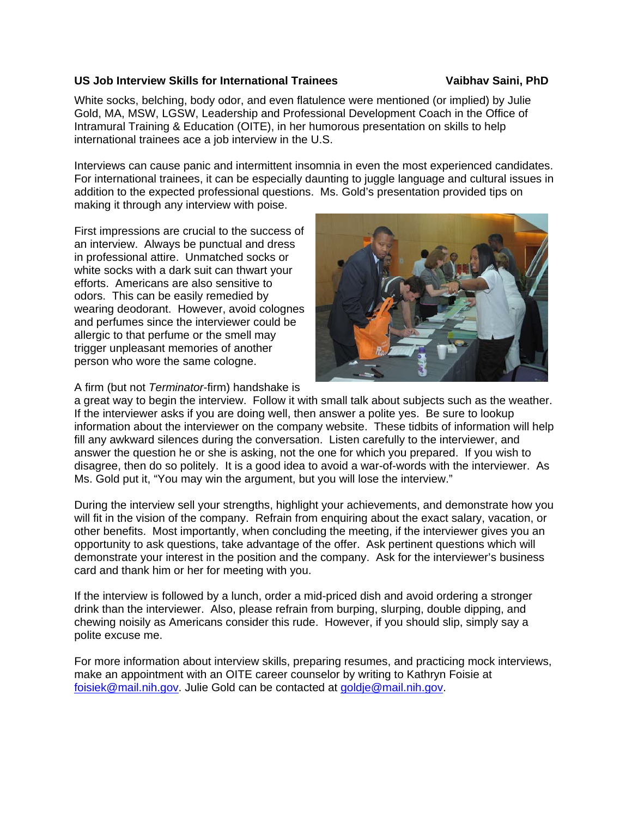### <span id="page-27-0"></span>**US Job Interview Skills for International Trainees Vaibhav Saini, PhD**

White socks, belching, body odor, and even flatulence were mentioned (or implied) by Julie Gold, MA, MSW, LGSW, Leadership and Professional Development Coach in the Office of Intramural Training & Education (OITE), in her humorous presentation on skills to help international trainees ace a job interview in the U.S.

Interviews can cause panic and intermittent insomnia in even the most experienced candidates. For international trainees, it can be especially daunting to juggle language and cultural issues in addition to the expected professional questions. Ms. Gold's presentation provided tips on making it through any interview with poise.

First impressions are crucial to the success of an interview. Always be punctual and dress in professional attire. Unmatched socks or white socks with a dark suit can thwart your efforts. Americans are also sensitive to odors. This can be easily remedied by wearing deodorant. However, avoid colognes and perfumes since the interviewer could be allergic to that perfume or the smell may trigger unpleasant memories of another person who wore the same cologne.



A firm (but not *Terminator*-firm) handshake is

a great way to begin the interview. Follow it with small talk about subjects such as the weather. If the interviewer asks if you are doing well, then answer a polite yes. Be sure to lookup information about the interviewer on the company website. These tidbits of information will help fill any awkward silences during the conversation. Listen carefully to the interviewer, and answer the question he or she is asking, not the one for which you prepared. If you wish to disagree, then do so politely. It is a good idea to avoid a war-of-words with the interviewer. As Ms. Gold put it, "You may win the argument, but you will lose the interview."

During the interview sell your strengths, highlight your achievements, and demonstrate how you will fit in the vision of the company. Refrain from enquiring about the exact salary, vacation, or other benefits. Most importantly, when concluding the meeting, if the interviewer gives you an opportunity to ask questions, take advantage of the offer. Ask pertinent questions which will demonstrate your interest in the position and the company. Ask for the interviewer's business card and thank him or her for meeting with you.

If the interview is followed by a lunch, order a mid-priced dish and avoid ordering a stronger drink than the interviewer. Also, please refrain from burping, slurping, double dipping, and chewing noisily as Americans consider this rude. However, if you should slip, simply say a polite excuse me.

For more information about interview skills, preparing resumes, and practicing mock interviews, make an appointment with an OITE career counselor by writing to Kathryn Foisie at [foisiek@mail.nih.gov](mailto:foisiek@mail.nih.gov). Julie Gold can be contacted at [goldje@mail.nih.gov](mailto:goldje@mail.nih.gov).